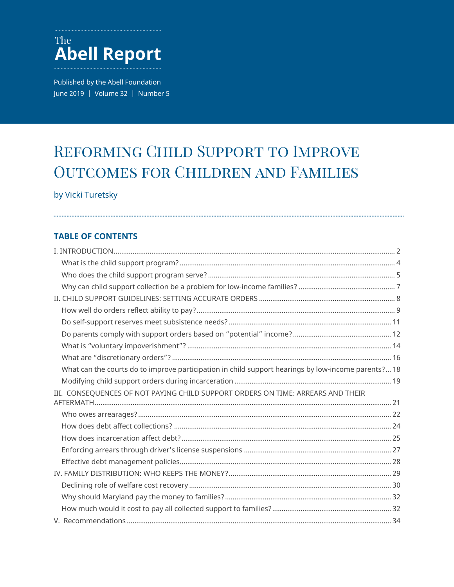## The **Abell Report**

Published by the Abell Foundation June 2019 | Volume 32 | Number 5

# REFORMING CHILD SUPPORT TO IMPROVE Outcomes for Children and Families

### by Vicki Turetsky

### **TABLE OF CONTENTS**

| What can the courts do to improve participation in child support hearings by low-income parents? 18 |  |
|-----------------------------------------------------------------------------------------------------|--|
|                                                                                                     |  |
| III. CONSEQUENCES OF NOT PAYING CHILD SUPPORT ORDERS ON TIME: ARREARS AND THEIR                     |  |
|                                                                                                     |  |
|                                                                                                     |  |
|                                                                                                     |  |
|                                                                                                     |  |
|                                                                                                     |  |
|                                                                                                     |  |
|                                                                                                     |  |
|                                                                                                     |  |
|                                                                                                     |  |
|                                                                                                     |  |
|                                                                                                     |  |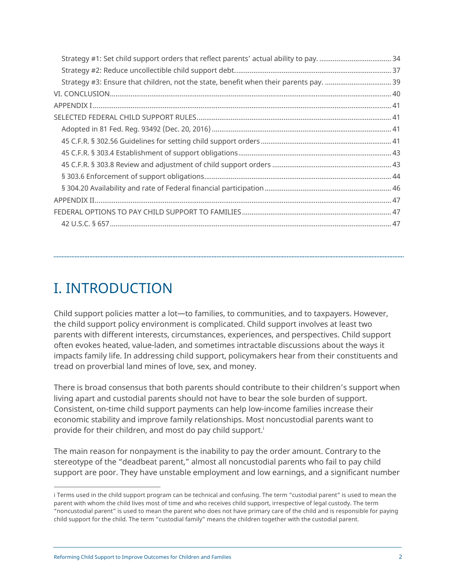<span id="page-1-0"></span>

# I. INTRODUCTION

Child support policies matter a lot—to families, to communities, and to taxpayers. However, the child support policy environment is complicated. Child support involves at least two parents with different interests, circumstances, experiences, and perspectives. Child support often evokes heated, value-laden, and sometimes intractable discussions about the ways it impacts family life. In addressing child support, policymakers hear from their constituents and tread on proverbial land mines of love, sex, and money.

There is broad consensus that both parents should contribute to their children's support when living apart and custodial parents should not have to bear the sole burden of support. Consistent, on-time child support payments can help low-income families increase their economic stability and improve family relationships. Most noncustodial parents want to provide for their children, and most do pay child support.<sup>i</sup>

The main reason for nonpayment is the inability to pay the order amount. Contrary to the stereotype of the "deadbeat parent," almost all noncustodial parents who fail to pay child support are poor. They have unstable employment and low earnings, and a significant number

i Terms used in the child support program can be technical and confusing. The term "custodial parent" is used to mean the parent with whom the child lives most of time and who receives child support, irrespective of legal custody. The term "noncustodial parent" is used to mean the parent who does not have primary care of the child and is responsible for paying child support for the child. The term "custodial family" means the children together with the custodial parent.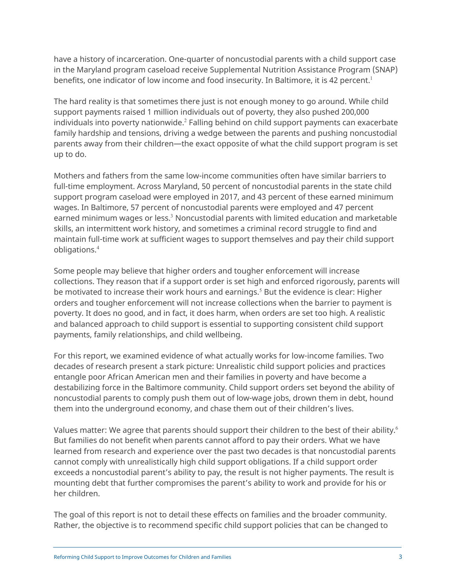have a history of incarceration. One-quarter of noncustodial parents with a child support case in the Maryland program caseload receive Supplemental Nutrition Assistance Program (SNAP) benefits, one indicator of low income and food insecurity. In Baltimore, it is 42 percent.<sup>1</sup>

The hard reality is that sometimes there just is not enough money to go around. While child support payments raised 1 million individuals out of poverty, they also pushed 200,000 individuals into poverty nationwide. <sup>2</sup> Falling behind on child support payments can exacerbate family hardship and tensions, driving a wedge between the parents and pushing noncustodial parents away from their children—the exact opposite of what the child support program is set up to do.

Mothers and fathers from the same low-income communities often have similar barriers to full-time employment. Across Maryland, 50 percent of noncustodial parents in the state child support program caseload were employed in 2017, and 43 percent of these earned minimum wages. In Baltimore, 57 percent of noncustodial parents were employed and 47 percent earned minimum wages or less.<sup>3</sup> Noncustodial parents with limited education and marketable skills, an intermittent work history, and sometimes a criminal record struggle to find and maintain full-time work at sufficient wages to support themselves and pay their child support obligations. 4

Some people may believe that higher orders and tougher enforcement will increase collections. They reason that if a support order is set high and enforced rigorously, parents will be motivated to increase their work hours and earnings.<sup>5</sup> But the evidence is clear: Higher orders and tougher enforcement will not increase collections when the barrier to payment is poverty. It does no good, and in fact, it does harm, when orders are set too high. A realistic and balanced approach to child support is essential to supporting consistent child support payments, family relationships, and child wellbeing.

For this report, we examined evidence of what actually works for low-income families. Two decades of research present a stark picture: Unrealistic child support policies and practices entangle poor African American men and their families in poverty and have become a destabilizing force in the Baltimore community. Child support orders set beyond the ability of noncustodial parents to comply push them out of low-wage jobs, drown them in debt, hound them into the underground economy, and chase them out of their children's lives.

Values matter: We agree that parents should support their children to the best of their ability.<sup>6</sup> But families do not benefit when parents cannot afford to pay their orders. What we have learned from research and experience over the past two decades is that noncustodial parents cannot comply with unrealistically high child support obligations. If a child support order exceeds a noncustodial parent's ability to pay, the result is not higher payments. The result is mounting debt that further compromises the parent's ability to work and provide for his or her children.

The goal of this report is not to detail these effects on families and the broader community. Rather, the objective is to recommend specific child support policies that can be changed to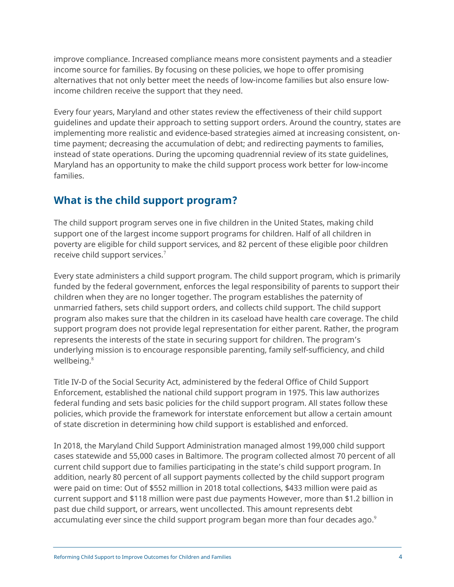<span id="page-3-0"></span>improve compliance. Increased compliance means more consistent payments and a steadier income source for families. By focusing on these policies, we hope to offer promising alternatives that not only better meet the needs of low-income families but also ensure lowincome children receive the support that they need.

Every four years, Maryland and other states review the effectiveness of their child support guidelines and update their approach to setting support orders. Around the country, states are implementing more realistic and evidence-based strategies aimed at increasing consistent, ontime payment; decreasing the accumulation of debt; and redirecting payments to families, instead of state operations. During the upcoming quadrennial review of its state guidelines, Maryland has an opportunity to make the child support process work better for low-income families.

## **What is the child support program?**

The child support program serves one in five children in the United States, making child support one of the largest income support programs for children. Half of all children in poverty are eligible for child support services, and 82 percent of these eligible poor children receive child support services.<sup>7</sup>

Every state administers a child support program. The child support program, which is primarily funded by the federal government, enforces the legal responsibility of parents to support their children when they are no longer together. The program establishes the paternity of unmarried fathers, sets child support orders, and collects child support. The child support program also makes sure that the children in its caseload have health care coverage. The child support program does not provide legal representation for either parent. Rather, the program represents the interests of the state in securing support for children. The program's underlying mission is to encourage responsible parenting, family self-sufficiency, and child wellbeing.<sup>8</sup>

Title IV-D of the Social Security Act, administered by the federal Office of Child Support Enforcement, established the national child support program in 1975. This law authorizes federal funding and sets basic policies for the child support program. All states follow these policies, which provide the framework for interstate enforcement but allow a certain amount of state discretion in determining how child support is established and enforced.

In 2018, the Maryland Child Support Administration managed almost 199,000 child support cases statewide and 55,000 cases in Baltimore. The program collected almost 70 percent of all current child support due to families participating in the state's child support program. In addition, nearly 80 percent of all support payments collected by the child support program were paid on time: Out of \$552 million in 2018 total collections, \$433 million were paid as current support and \$118 million were past due payments However, more than \$1.2 billion in past due child support, or arrears, went uncollected. This amount represents debt accumulating ever since the child support program began more than four decades ago.<sup>9</sup>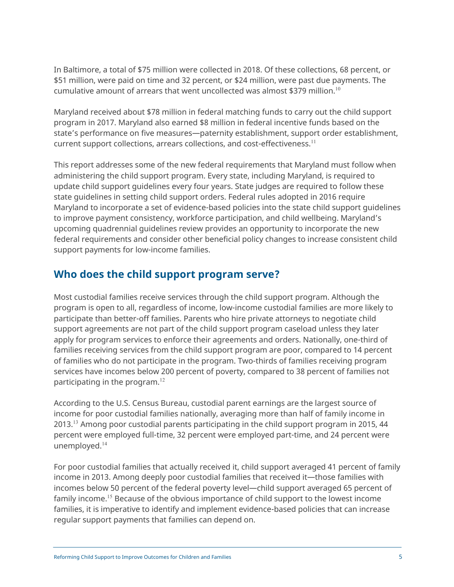<span id="page-4-0"></span>In Baltimore, a total of \$75 million were collected in 2018. Of these collections, 68 percent, or \$51 million, were paid on time and 32 percent, or \$24 million, were past due payments. The cumulative amount of arrears that went uncollected was almost \$379 million.<sup>10</sup>

Maryland received about \$78 million in federal matching funds to carry out the child support program in 2017. Maryland also earned \$8 million in federal incentive funds based on the state's performance on five measures—paternity establishment, support order establishment, current support collections, arrears collections, and cost-effectiveness.<sup>11</sup>

This report addresses some of the new federal requirements that Maryland must follow when administering the child support program. Every state, including Maryland, is required to update child support guidelines every four years. State judges are required to follow these state guidelines in setting child support orders. Federal rules adopted in 2016 require Maryland to incorporate a set of evidence-based policies into the state child support guidelines to improve payment consistency, workforce participation, and child wellbeing. Maryland's upcoming quadrennial guidelines review provides an opportunity to incorporate the new federal requirements and consider other beneficial policy changes to increase consistent child support payments for low-income families.

## **Who does the child support program serve?**

Most custodial families receive services through the child support program. Although the program is open to all, regardless of income, low-income custodial families are more likely to participate than better-off families. Parents who hire private attorneys to negotiate child support agreements are not part of the child support program caseload unless they later apply for program services to enforce their agreements and orders. Nationally, one-third of families receiving services from the child support program are poor, compared to 14 percent of families who do not participate in the program. Two-thirds of families receiving program services have incomes below 200 percent of poverty, compared to 38 percent of families not participating in the program.<sup>12</sup>

According to the U.S. Census Bureau, custodial parent earnings are the largest source of income for poor custodial families nationally, averaging more than half of family income in 2013.<sup>13</sup> Among poor custodial parents participating in the child support program in 2015, 44 percent were employed full-time, 32 percent were employed part-time, and 24 percent were unemployed.<sup>14</sup>

For poor custodial families that actually received it, child support averaged 41 percent of family income in 2013. Among deeply poor custodial families that received it—those families with incomes below 50 percent of the federal poverty level—child support averaged 65 percent of family income.<sup>15</sup> Because of the obvious importance of child support to the lowest income families, it is imperative to identify and implement evidence-based policies that can increase regular support payments that families can depend on.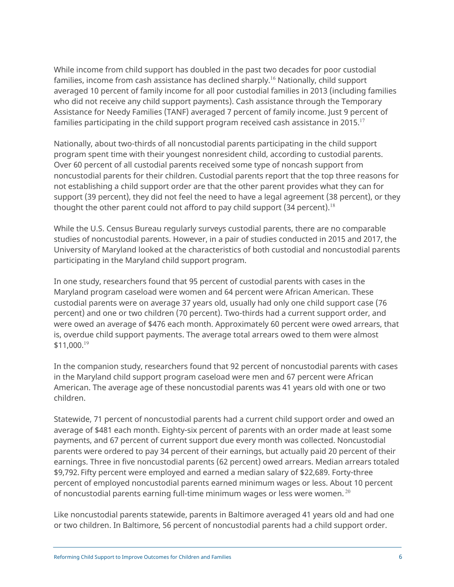While income from child support has doubled in the past two decades for poor custodial families, income from cash assistance has declined sharply.<sup>16</sup> Nationally, child support averaged 10 percent of family income for all poor custodial families in 2013 (including families who did not receive any child support payments). Cash assistance through the Temporary Assistance for Needy Families (TANF) averaged 7 percent of family income. Just 9 percent of families participating in the child support program received cash assistance in 2015.<sup>17</sup>

Nationally, about two-thirds of all noncustodial parents participating in the child support program spent time with their youngest nonresident child, according to custodial parents. Over 60 percent of all custodial parents received some type of noncash support from noncustodial parents for their children. Custodial parents report that the top three reasons for not establishing a child support order are that the other parent provides what they can for support (39 percent), they did not feel the need to have a legal agreement (38 percent), or they thought the other parent could not afford to pay child support (34 percent).<sup>18</sup>

While the U.S. Census Bureau regularly surveys custodial parents, there are no comparable studies of noncustodial parents. However, in a pair of studies conducted in 2015 and 2017, the University of Maryland looked at the characteristics of both custodial and noncustodial parents participating in the Maryland child support program.

In one study, researchers found that 95 percent of custodial parents with cases in the Maryland program caseload were women and 64 percent were African American. These custodial parents were on average 37 years old, usually had only one child support case (76 percent) and one or two children (70 percent). Two-thirds had a current support order, and were owed an average of \$476 each month. Approximately 60 percent were owed arrears, that is, overdue child support payments. The average total arrears owed to them were almost \$11,000.<sup>19</sup>

In the companion study, researchers found that 92 percent of noncustodial parents with cases in the Maryland child support program caseload were men and 67 percent were African American. The average age of these noncustodial parents was 41 years old with one or two children.

Statewide, 71 percent of noncustodial parents had a current child support order and owed an average of \$481 each month. Eighty-six percent of parents with an order made at least some payments, and 67 percent of current support due every month was collected. Noncustodial parents were ordered to pay 34 percent of their earnings, but actually paid 20 percent of their earnings. Three in five noncustodial parents (62 percent) owed arrears. Median arrears totaled \$9,792. Fifty percent were employed and earned a median salary of \$22,689. Forty-three percent of employed noncustodial parents earned minimum wages or less. About 10 percent of noncustodial parents earning full-time minimum wages or less were women. <sup>20</sup>

Like noncustodial parents statewide, parents in Baltimore averaged 41 years old and had one or two children. In Baltimore, 56 percent of noncustodial parents had a child support order.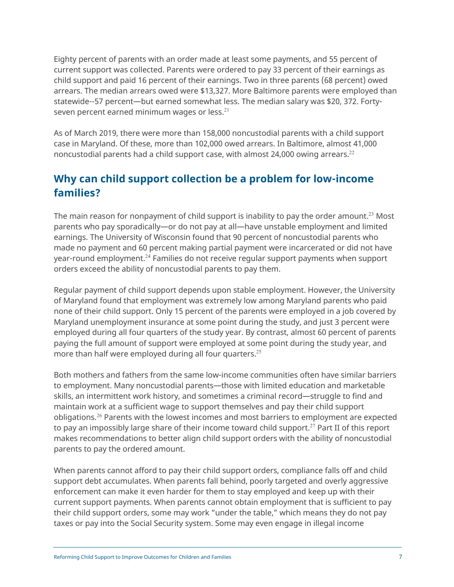<span id="page-6-0"></span>Eighty percent of parents with an order made at least some payments, and 55 percent of current support was collected. Parents were ordered to pay 33 percent of their earnings as child support and paid 16 percent of their earnings. Two in three parents (68 percent) owed arrears. The median arrears owed were \$13,327. More Baltimore parents were employed than statewide--57 percent—but earned somewhat less. The median salary was \$20, 372. Fortyseven percent earned minimum wages or less.<sup>21</sup>

As of March 2019, there were more than 158,000 noncustodial parents with a child support case in Maryland. Of these, more than 102,000 owed arrears. In Baltimore, almost 41,000 noncustodial parents had a child support case, with almost 24,000 owing arrears.<sup>22</sup>

## **Why can child support collection be a problem for low-income families?**

The main reason for nonpayment of child support is inability to pay the order amount.<sup>23</sup> Most parents who pay sporadically—or do not pay at all—have unstable employment and limited earnings. The University of Wisconsin found that 90 percent of noncustodial parents who made no payment and 60 percent making partial payment were incarcerated or did not have year-round employment.<sup>24</sup> Families do not receive regular support payments when support orders exceed the ability of noncustodial parents to pay them.

Regular payment of child support depends upon stable employment. However, the University of Maryland found that employment was extremely low among Maryland parents who paid none of their child support. Only 15 percent of the parents were employed in a job covered by Maryland unemployment insurance at some point during the study, and just 3 percent were employed during all four quarters of the study year. By contrast, almost 60 percent of parents paying the full amount of support were employed at some point during the study year, and more than half were employed during all four quarters. $25$ 

Both mothers and fathers from the same low-income communities often have similar barriers to employment. Many noncustodial parents—those with limited education and marketable skills, an intermittent work history, and sometimes a criminal record—struggle to find and maintain work at a sufficient wage to support themselves and pay their child support obligations.<sup>26</sup> Parents with the lowest incomes and most barriers to employment are expected to pay an impossibly large share of their income toward child support.<sup>27</sup> Part II of this report makes recommendations to better align child support orders with the ability of noncustodial parents to pay the ordered amount.

When parents cannot afford to pay their child support orders, compliance falls off and child support debt accumulates. When parents fall behind, poorly targeted and overly aggressive enforcement can make it even harder for them to stay employed and keep up with their current support payments. When parents cannot obtain employment that is sufficient to pay their child support orders, some may work "under the table," which means they do not pay taxes or pay into the Social Security system. Some may even engage in illegal income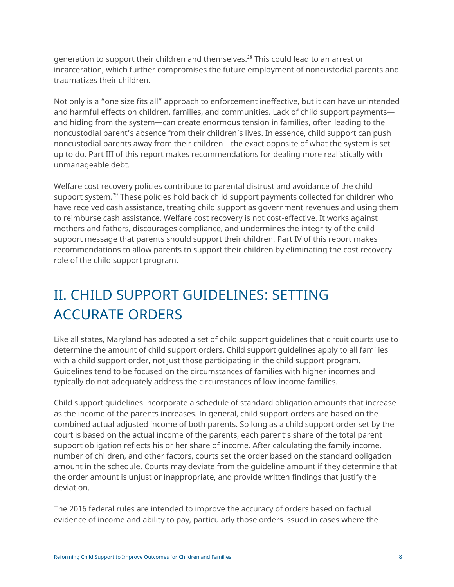<span id="page-7-0"></span>generation to support their children and themselves.<sup>28</sup> This could lead to an arrest or incarceration, which further compromises the future employment of noncustodial parents and traumatizes their children.

Not only is a "one size fits all" approach to enforcement ineffective, but it can have unintended and harmful effects on children, families, and communities. Lack of child support payments and hiding from the system—can create enormous tension in families, often leading to the noncustodial parent's absence from their children's lives. In essence, child support can push noncustodial parents away from their children—the exact opposite of what the system is set up to do. Part III of this report makes recommendations for dealing more realistically with unmanageable debt.

Welfare cost recovery policies contribute to parental distrust and avoidance of the child support system.<sup>29</sup> These policies hold back child support payments collected for children who have received cash assistance, treating child support as government revenues and using them to reimburse cash assistance. Welfare cost recovery is not cost-effective. It works against mothers and fathers, discourages compliance, and undermines the integrity of the child support message that parents should support their children. Part IV of this report makes recommendations to allow parents to support their children by eliminating the cost recovery role of the child support program.

# II. CHILD SUPPORT GUIDELINES: SETTING ACCURATE ORDERS

Like all states, Maryland has adopted a set of child support guidelines that circuit courts use to determine the amount of child support orders. Child support guidelines apply to all families with a child support order, not just those participating in the child support program. Guidelines tend to be focused on the circumstances of families with higher incomes and typically do not adequately address the circumstances of low-income families.

Child support guidelines incorporate a schedule of standard obligation amounts that increase as the income of the parents increases. In general, child support orders are based on the combined actual adjusted income of both parents. So long as a child support order set by the court is based on the actual income of the parents, each parent's share of the total parent support obligation reflects his or her share of income. After calculating the family income, number of children, and other factors, courts set the order based on the standard obligation amount in the schedule. Courts may deviate from the guideline amount if they determine that the order amount is unjust or inappropriate, and provide written findings that justify the deviation.

The 2016 federal rules are intended to improve the accuracy of orders based on factual evidence of income and ability to pay, particularly those orders issued in cases where the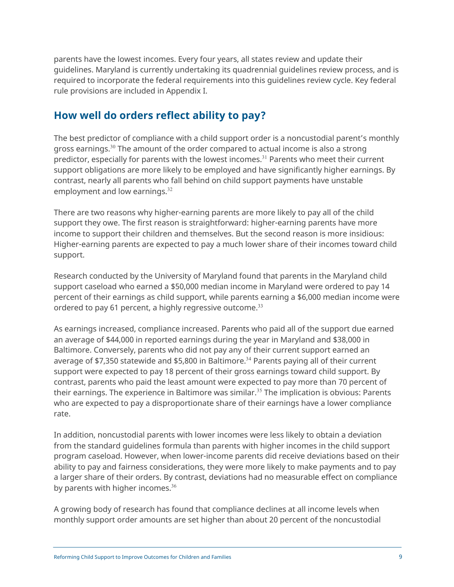<span id="page-8-0"></span>parents have the lowest incomes. Every four years, all states review and update their guidelines. Maryland is currently undertaking its quadrennial guidelines review process, and is required to incorporate the federal requirements into this guidelines review cycle. Key federal rule provisions are included in Appendix I.

## **How well do orders reflect ability to pay?**

The best predictor of compliance with a child support order is a noncustodial parent's monthly gross earnings. $30$  The amount of the order compared to actual income is also a strong predictor, especially for parents with the lowest incomes.<sup>31</sup> Parents who meet their current support obligations are more likely to be employed and have significantly higher earnings. By contrast, nearly all parents who fall behind on child support payments have unstable employment and low earnings.<sup>32</sup>

There are two reasons why higher-earning parents are more likely to pay all of the child support they owe. The first reason is straightforward: higher-earning parents have more income to support their children and themselves. But the second reason is more insidious: Higher-earning parents are expected to pay a much lower share of their incomes toward child support.

Research conducted by the University of Maryland found that parents in the Maryland child support caseload who earned a \$50,000 median income in Maryland were ordered to pay 14 percent of their earnings as child support, while parents earning a \$6,000 median income were ordered to pay 61 percent, a highly regressive outcome.<sup>33</sup>

As earnings increased, compliance increased. Parents who paid all of the support due earned an average of \$44,000 in reported earnings during the year in Maryland and \$38,000 in Baltimore. Conversely, parents who did not pay any of their current support earned an average of \$7,350 statewide and \$5,800 in Baltimore. <sup>34</sup> Parents paying all of their current support were expected to pay 18 percent of their gross earnings toward child support. By contrast, parents who paid the least amount were expected to pay more than 70 percent of their earnings. The experience in Baltimore was similar.<sup>35</sup> The implication is obvious: Parents who are expected to pay a disproportionate share of their earnings have a lower compliance rate.

In addition, noncustodial parents with lower incomes were less likely to obtain a deviation from the standard guidelines formula than parents with higher incomes in the child support program caseload. However, when lower-income parents did receive deviations based on their ability to pay and fairness considerations, they were more likely to make payments and to pay a larger share of their orders. By contrast, deviations had no measurable effect on compliance by parents with higher incomes. $36$ 

A growing body of research has found that compliance declines at all income levels when monthly support order amounts are set higher than about 20 percent of the noncustodial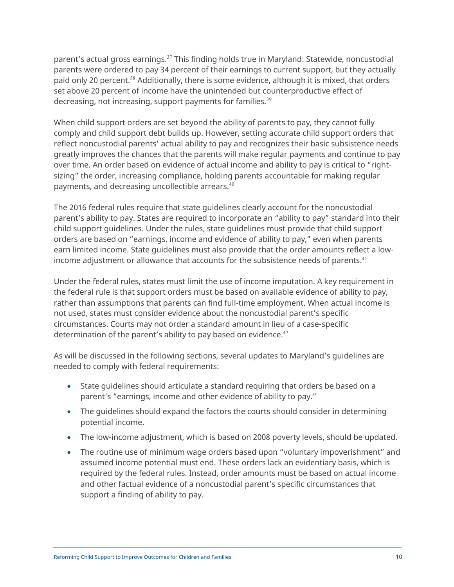parent's actual gross earnings.<sup>37</sup> This finding holds true in Maryland: Statewide, noncustodial parents were ordered to pay 34 percent of their earnings to current support, but they actually paid only 20 percent.<sup>38</sup> Additionally, there is some evidence, although it is mixed, that orders set above 20 percent of income have the unintended but counterproductive effect of decreasing, not increasing, support payments for families. $39$ 

When child support orders are set beyond the ability of parents to pay, they cannot fully comply and child support debt builds up. However, setting accurate child support orders that reflect noncustodial parents' actual ability to pay and recognizes their basic subsistence needs greatly improves the chances that the parents will make regular payments and continue to pay over time. An order based on evidence of actual income and ability to pay is critical to "rightsizing" the order, increasing compliance, holding parents accountable for making regular payments, and decreasing uncollectible arrears.<sup>40</sup>

The 2016 federal rules require that state guidelines clearly account for the noncustodial parent's ability to pay. States are required to incorporate an "ability to pay" standard into their child support guidelines. Under the rules, state guidelines must provide that child support orders are based on "earnings, income and evidence of ability to pay," even when parents earn limited income. State guidelines must also provide that the order amounts reflect a lowincome adjustment or allowance that accounts for the subsistence needs of parents. 41

Under the federal rules, states must limit the use of income imputation. A key requirement in the federal rule is that support orders must be based on available evidence of ability to pay, rather than assumptions that parents can find full-time employment. When actual income is not used, states must consider evidence about the noncustodial parent's specific circumstances. Courts may not order a standard amount in lieu of a case-specific determination of the parent's ability to pay based on evidence.<sup>42</sup>

As will be discussed in the following sections, several updates to Maryland's guidelines are needed to comply with federal requirements:

- State guidelines should articulate a standard requiring that orders be based on a parent's "earnings, income and other evidence of ability to pay."
- The guidelines should expand the factors the courts should consider in determining potential income.
- The low-income adjustment, which is based on 2008 poverty levels, should be updated.
- The routine use of minimum wage orders based upon "voluntary impoverishment" and assumed income potential must end. These orders lack an evidentiary basis, which is required by the federal rules. Instead, order amounts must be based on actual income and other factual evidence of a noncustodial parent's specific circumstances that support a finding of ability to pay.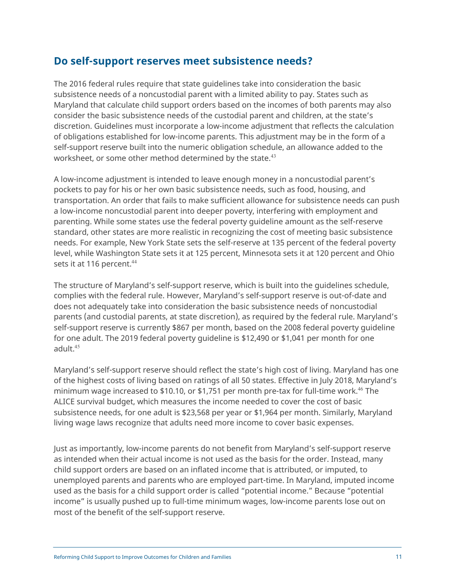## <span id="page-10-0"></span>**Do self-support reserves meet subsistence needs?**

The 2016 federal rules require that state guidelines take into consideration the basic subsistence needs of a noncustodial parent with a limited ability to pay. States such as Maryland that calculate child support orders based on the incomes of both parents may also consider the basic subsistence needs of the custodial parent and children, at the state's discretion. Guidelines must incorporate a low-income adjustment that reflects the calculation of obligations established for low-income parents. This adjustment may be in the form of a self-support reserve built into the numeric obligation schedule, an allowance added to the worksheet, or some other method determined by the state.<sup>43</sup>

A low-income adjustment is intended to leave enough money in a noncustodial parent's pockets to pay for his or her own basic subsistence needs, such as food, housing, and transportation. An order that fails to make sufficient allowance for subsistence needs can push a low-income noncustodial parent into deeper poverty, interfering with employment and parenting. While some states use the federal poverty guideline amount as the self-reserve standard, other states are more realistic in recognizing the cost of meeting basic subsistence needs. For example, New York State sets the self-reserve at 135 percent of the federal poverty level, while Washington State sets it at 125 percent, Minnesota sets it at 120 percent and Ohio sets it at 116 percent.<sup>44</sup>

The structure of Maryland's self-support reserve, which is built into the guidelines schedule, complies with the federal rule. However, Maryland's self-support reserve is out-of-date and does not adequately take into consideration the basic subsistence needs of noncustodial parents (and custodial parents, at state discretion), as required by the federal rule. Maryland's self-support reserve is currently \$867 per month, based on the 2008 federal poverty guideline for one adult. The 2019 federal poverty guideline is \$12,490 or \$1,041 per month for one adult.<sup>45</sup>

Maryland's self-support reserve should reflect the state's high cost of living. Maryland has one of the highest costs of living based on ratings of all 50 states. Effective in July 2018, Maryland's minimum wage increased to \$10.10, or \$1,751 per month pre-tax for full-time work.<sup>46</sup> The ALICE survival budget, which measures the income needed to cover the cost of basic subsistence needs, for one adult is \$23,568 per year or \$1,964 per month. Similarly, Maryland living wage laws recognize that adults need more income to cover basic expenses.

Just as importantly, low-income parents do not benefit from Maryland's self-support reserve as intended when their actual income is not used as the basis for the order. Instead, many child support orders are based on an inflated income that is attributed, or imputed, to unemployed parents and parents who are employed part-time. In Maryland, imputed income used as the basis for a child support order is called "potential income." Because "potential income" is usually pushed up to full-time minimum wages, low-income parents lose out on most of the benefit of the self-support reserve.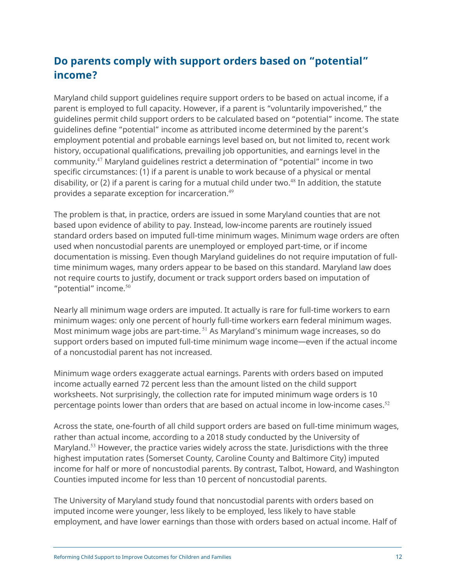## <span id="page-11-0"></span>**Do parents comply with support orders based on "potential" income?**

Maryland child support guidelines require support orders to be based on actual income, if a parent is employed to full capacity. However, if a parent is "voluntarily impoverished," the guidelines permit child support orders to be calculated based on "potential" income. The state guidelines define "potential" income as attributed income determined by the parent's employment potential and probable earnings level based on, but not limited to, recent work history, occupational qualifications, prevailing job opportunities, and earnings level in the community.<sup>47</sup> Maryland guidelines restrict a determination of "potential" income in two specific circumstances: (1) if a parent is unable to work because of a physical or mental disability, or (2) if a parent is caring for a mutual child under two. <sup>48</sup> In addition, the statute provides a separate exception for incarceration.<sup>49</sup>

The problem is that, in practice, orders are issued in some Maryland counties that are not based upon evidence of ability to pay. Instead, low-income parents are routinely issued standard orders based on imputed full-time minimum wages. Minimum wage orders are often used when noncustodial parents are unemployed or employed part-time, or if income documentation is missing. Even though Maryland guidelines do not require imputation of fulltime minimum wages, many orders appear to be based on this standard. Maryland law does not require courts to justify, document or track support orders based on imputation of "potential" income.<sup>50</sup>

Nearly all minimum wage orders are imputed. It actually is rare for full-time workers to earn minimum wages: only one percent of hourly full-time workers earn federal minimum wages. Most minimum wage jobs are part-time. <sup>51</sup> As Maryland's minimum wage increases, so do support orders based on imputed full-time minimum wage income—even if the actual income of a noncustodial parent has not increased.

Minimum wage orders exaggerate actual earnings. Parents with orders based on imputed income actually earned 72 percent less than the amount listed on the child support worksheets. Not surprisingly, the collection rate for imputed minimum wage orders is 10 percentage points lower than orders that are based on actual income in low-income cases. 52

Across the state, one-fourth of all child support orders are based on full-time minimum wages, rather than actual income, according to a 2018 study conducted by the University of Maryland.<sup>53</sup> However, the practice varies widely across the state. Jurisdictions with the three highest imputation rates (Somerset County, Caroline County and Baltimore City) imputed income for half or more of noncustodial parents. By contrast, Talbot, Howard, and Washington Counties imputed income for less than 10 percent of noncustodial parents.

The University of Maryland study found that noncustodial parents with orders based on imputed income were younger, less likely to be employed, less likely to have stable employment, and have lower earnings than those with orders based on actual income. Half of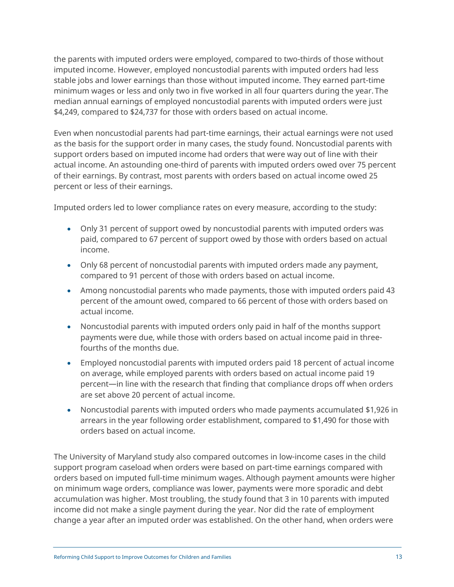the parents with imputed orders were employed, compared to two-thirds of those without imputed income. However, employed noncustodial parents with imputed orders had less stable jobs and lower earnings than those without imputed income. They earned part-time minimum wages or less and only two in five worked in all four quarters during the year. The median annual earnings of employed noncustodial parents with imputed orders were just \$4,249, compared to \$24,737 for those with orders based on actual income.

Even when noncustodial parents had part-time earnings, their actual earnings were not used as the basis for the support order in many cases, the study found. Noncustodial parents with support orders based on imputed income had orders that were way out of line with their actual income. An astounding one-third of parents with imputed orders owed over 75 percent of their earnings. By contrast, most parents with orders based on actual income owed 25 percent or less of their earnings.

Imputed orders led to lower compliance rates on every measure, according to the study:

- Only 31 percent of support owed by noncustodial parents with imputed orders was paid, compared to 67 percent of support owed by those with orders based on actual income.
- Only 68 percent of noncustodial parents with imputed orders made any payment, compared to 91 percent of those with orders based on actual income.
- Among noncustodial parents who made payments, those with imputed orders paid 43 percent of the amount owed, compared to 66 percent of those with orders based on actual income.
- Noncustodial parents with imputed orders only paid in half of the months support payments were due, while those with orders based on actual income paid in threefourths of the months due.
- Employed noncustodial parents with imputed orders paid 18 percent of actual income on average, while employed parents with orders based on actual income paid 19 percent—in line with the research that finding that compliance drops off when orders are set above 20 percent of actual income.
- Noncustodial parents with imputed orders who made payments accumulated \$1,926 in arrears in the year following order establishment, compared to \$1,490 for those with orders based on actual income.

The University of Maryland study also compared outcomes in low-income cases in the child support program caseload when orders were based on part-time earnings compared with orders based on imputed full-time minimum wages. Although payment amounts were higher on minimum wage orders, compliance was lower, payments were more sporadic and debt accumulation was higher. Most troubling, the study found that 3 in 10 parents with imputed income did not make a single payment during the year. Nor did the rate of employment change a year after an imputed order was established. On the other hand, when orders were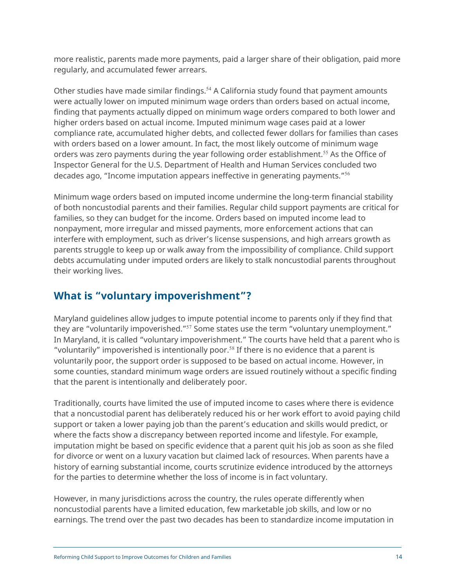<span id="page-13-0"></span>more realistic, parents made more payments, paid a larger share of their obligation, paid more regularly, and accumulated fewer arrears.

Other studies have made similar findings.<sup>54</sup> A California study found that payment amounts were actually lower on imputed minimum wage orders than orders based on actual income, finding that payments actually dipped on minimum wage orders compared to both lower and higher orders based on actual income. Imputed minimum wage cases paid at a lower compliance rate, accumulated higher debts, and collected fewer dollars for families than cases with orders based on a lower amount. In fact, the most likely outcome of minimum wage orders was zero payments during the year following order establishment.<sup>55</sup> As the Office of Inspector General for the U.S. Department of Health and Human Services concluded two decades ago, "Income imputation appears ineffective in generating payments."<sup>56</sup>

Minimum wage orders based on imputed income undermine the long-term financial stability of both noncustodial parents and their families. Regular child support payments are critical for families, so they can budget for the income. Orders based on imputed income lead to nonpayment, more irregular and missed payments, more enforcement actions that can interfere with employment, such as driver's license suspensions, and high arrears growth as parents struggle to keep up or walk away from the impossibility of compliance. Child support debts accumulating under imputed orders are likely to stalk noncustodial parents throughout their working lives.

## **What is "voluntary impoverishment"?**

Maryland guidelines allow judges to impute potential income to parents only if they find that they are "voluntarily impoverished."<sup>57</sup> Some states use the term "voluntary unemployment." In Maryland, it is called "voluntary impoverishment." The courts have held that a parent who is "voluntarily" impoverished is intentionally poor.<sup>58</sup> If there is no evidence that a parent is voluntarily poor, the support order is supposed to be based on actual income. However, in some counties, standard minimum wage orders are issued routinely without a specific finding that the parent is intentionally and deliberately poor.

Traditionally, courts have limited the use of imputed income to cases where there is evidence that a noncustodial parent has deliberately reduced his or her work effort to avoid paying child support or taken a lower paying job than the parent's education and skills would predict, or where the facts show a discrepancy between reported income and lifestyle. For example, imputation might be based on specific evidence that a parent quit his job as soon as she filed for divorce or went on a luxury vacation but claimed lack of resources. When parents have a history of earning substantial income, courts scrutinize evidence introduced by the attorneys for the parties to determine whether the loss of income is in fact voluntary.

However, in many jurisdictions across the country, the rules operate differently when noncustodial parents have a limited education, few marketable job skills, and low or no earnings. The trend over the past two decades has been to standardize income imputation in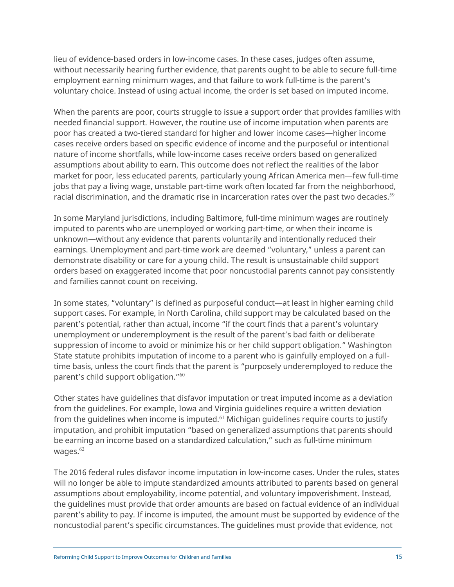lieu of evidence-based orders in low-income cases. In these cases, judges often assume, without necessarily hearing further evidence, that parents ought to be able to secure full-time employment earning minimum wages, and that failure to work full-time is the parent's voluntary choice. Instead of using actual income, the order is set based on imputed income.

When the parents are poor, courts struggle to issue a support order that provides families with needed financial support. However, the routine use of income imputation when parents are poor has created a two-tiered standard for higher and lower income cases—higher income cases receive orders based on specific evidence of income and the purposeful or intentional nature of income shortfalls, while low-income cases receive orders based on generalized assumptions about ability to earn. This outcome does not reflect the realities of the labor market for poor, less educated parents, particularly young African America men—few full-time jobs that pay a living wage, unstable part-time work often located far from the neighborhood, racial discrimination, and the dramatic rise in incarceration rates over the past two decades.<sup>59</sup>

In some Maryland jurisdictions, including Baltimore, full-time minimum wages are routinely imputed to parents who are unemployed or working part-time, or when their income is unknown—without any evidence that parents voluntarily and intentionally reduced their earnings. Unemployment and part-time work are deemed "voluntary," unless a parent can demonstrate disability or care for a young child. The result is unsustainable child support orders based on exaggerated income that poor noncustodial parents cannot pay consistently and families cannot count on receiving.

In some states, "voluntary" is defined as purposeful conduct—at least in higher earning child support cases. For example, in North Carolina, child support may be calculated based on the parent's potential, rather than actual, income "if the court finds that a parent's voluntary unemployment or underemployment is the result of the parent's bad faith or deliberate suppression of income to avoid or minimize his or her child support obligation." Washington State statute prohibits imputation of income to a parent who is gainfully employed on a fulltime basis, unless the court finds that the parent is "purposely underemployed to reduce the parent's child support obligation."<sup>60</sup>

Other states have guidelines that disfavor imputation or treat imputed income as a deviation from the guidelines. For example, Iowa and Virginia guidelines require a written deviation from the quidelines when income is imputed. $61$  Michigan guidelines require courts to justify imputation, and prohibit imputation "based on generalized assumptions that parents should be earning an income based on a standardized calculation," such as full-time minimum wages. $62$ 

The 2016 federal rules disfavor income imputation in low-income cases. Under the rules, states will no longer be able to impute standardized amounts attributed to parents based on general assumptions about employability, income potential, and voluntary impoverishment. Instead, the guidelines must provide that order amounts are based on factual evidence of an individual parent's ability to pay. If income is imputed, the amount must be supported by evidence of the noncustodial parent's specific circumstances. The guidelines must provide that evidence, not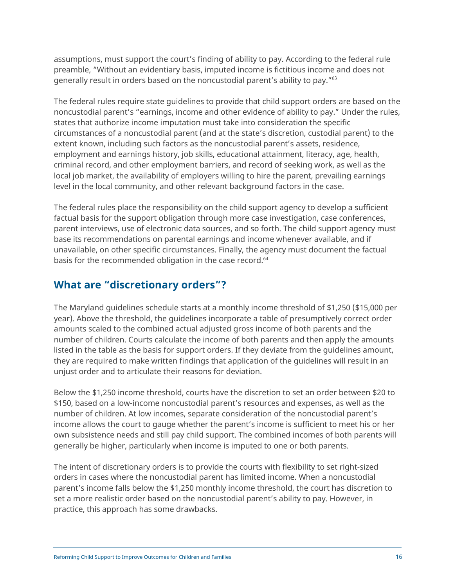<span id="page-15-0"></span>assumptions, must support the court's finding of ability to pay. According to the federal rule preamble, "Without an evidentiary basis, imputed income is fictitious income and does not generally result in orders based on the noncustodial parent's ability to pay."<sup>63</sup>

The federal rules require state guidelines to provide that child support orders are based on the noncustodial parent's "earnings, income and other evidence of ability to pay." Under the rules, states that authorize income imputation must take into consideration the specific circumstances of a noncustodial parent (and at the state's discretion, custodial parent) to the extent known, including such factors as the noncustodial parent's assets, residence, employment and earnings history, job skills, educational attainment, literacy, age, health, criminal record, and other employment barriers, and record of seeking work, as well as the local job market, the availability of employers willing to hire the parent, prevailing earnings level in the local community, and other relevant background factors in the case.

The federal rules place the responsibility on the child support agency to develop a sufficient factual basis for the support obligation through more case investigation, case conferences, parent interviews, use of electronic data sources, and so forth. The child support agency must base its recommendations on parental earnings and income whenever available, and if unavailable, on other specific circumstances. Finally, the agency must document the factual basis for the recommended obligation in the case record.<sup>64</sup>

## **What are "discretionary orders"?**

The Maryland guidelines schedule starts at a monthly income threshold of \$1,250 (\$15,000 per year). Above the threshold, the guidelines incorporate a table of presumptively correct order amounts scaled to the combined actual adjusted gross income of both parents and the number of children. Courts calculate the income of both parents and then apply the amounts listed in the table as the basis for support orders. If they deviate from the guidelines amount, they are required to make written findings that application of the guidelines will result in an unjust order and to articulate their reasons for deviation.

Below the \$1,250 income threshold, courts have the discretion to set an order between \$20 to \$150, based on a low-income noncustodial parent's resources and expenses, as well as the number of children. At low incomes, separate consideration of the noncustodial parent's income allows the court to gauge whether the parent's income is sufficient to meet his or her own subsistence needs and still pay child support. The combined incomes of both parents will generally be higher, particularly when income is imputed to one or both parents.

The intent of discretionary orders is to provide the courts with flexibility to set right-sized orders in cases where the noncustodial parent has limited income. When a noncustodial parent's income falls below the \$1,250 monthly income threshold, the court has discretion to set a more realistic order based on the noncustodial parent's ability to pay. However, in practice, this approach has some drawbacks.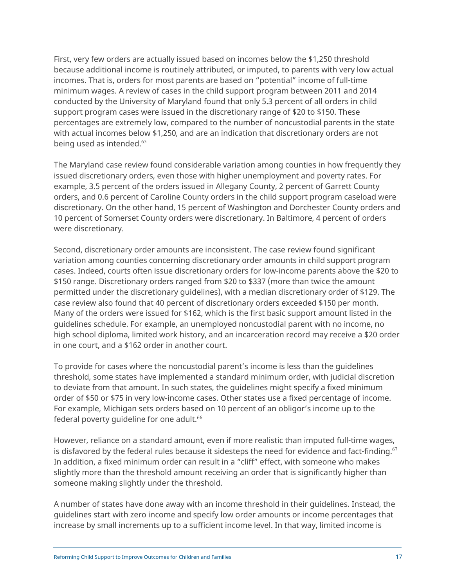First, very few orders are actually issued based on incomes below the \$1,250 threshold because additional income is routinely attributed, or imputed, to parents with very low actual incomes. That is, orders for most parents are based on "potential" income of full-time minimum wages. A review of cases in the child support program between 2011 and 2014 conducted by the University of Maryland found that only 5.3 percent of all orders in child support program cases were issued in the discretionary range of \$20 to \$150. These percentages are extremely low, compared to the number of noncustodial parents in the state with actual incomes below \$1,250, and are an indication that discretionary orders are not being used as intended.<sup>65</sup>

The Maryland case review found considerable variation among counties in how frequently they issued discretionary orders, even those with higher unemployment and poverty rates. For example, 3.5 percent of the orders issued in Allegany County, 2 percent of Garrett County orders, and 0.6 percent of Caroline County orders in the child support program caseload were discretionary. On the other hand, 15 percent of Washington and Dorchester County orders and 10 percent of Somerset County orders were discretionary. In Baltimore, 4 percent of orders were discretionary.

Second, discretionary order amounts are inconsistent. The case review found significant variation among counties concerning discretionary order amounts in child support program cases. Indeed, courts often issue discretionary orders for low-income parents above the \$20 to \$150 range. Discretionary orders ranged from \$20 to \$337 (more than twice the amount permitted under the discretionary guidelines), with a median discretionary order of \$129. The case review also found that 40 percent of discretionary orders exceeded \$150 per month. Many of the orders were issued for \$162, which is the first basic support amount listed in the guidelines schedule. For example, an unemployed noncustodial parent with no income, no high school diploma, limited work history, and an incarceration record may receive a \$20 order in one court, and a \$162 order in another court.

To provide for cases where the noncustodial parent's income is less than the guidelines threshold, some states have implemented a standard minimum order, with judicial discretion to deviate from that amount. In such states, the guidelines might specify a fixed minimum order of \$50 or \$75 in very low-income cases. Other states use a fixed percentage of income. For example, Michigan sets orders based on 10 percent of an obligor's income up to the federal poverty quideline for one adult.<sup>66</sup>

However, reliance on a standard amount, even if more realistic than imputed full-time wages, is disfavored by the federal rules because it sidesteps the need for evidence and fact-finding. $67$ In addition, a fixed minimum order can result in a "cliff" effect, with someone who makes slightly more than the threshold amount receiving an order that is significantly higher than someone making slightly under the threshold.

A number of states have done away with an income threshold in their guidelines. Instead, the guidelines start with zero income and specify low order amounts or income percentages that increase by small increments up to a sufficient income level. In that way, limited income is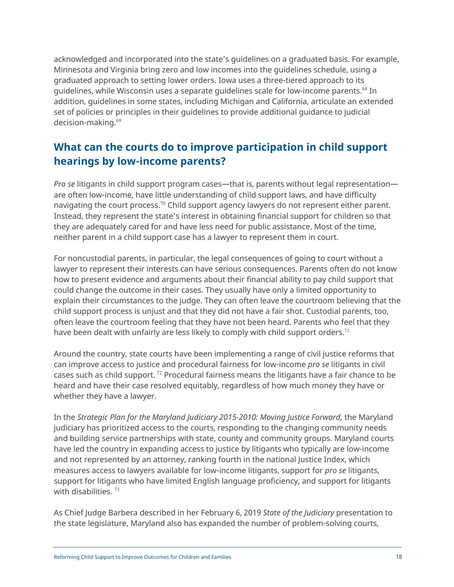<span id="page-17-0"></span>acknowledged and incorporated into the state's guidelines on a graduated basis. For example, Minnesota and Virginia bring zero and low incomes into the guidelines schedule, using a graduated approach to setting lower orders. Iowa uses a three-tiered approach to its guidelines, while Wisconsin uses a separate guidelines scale for low-income parents. <sup>68</sup> In addition, guidelines in some states, including Michigan and California, articulate an extended set of policies or principles in their guidelines to provide additional guidance to judicial decision-making. 69

## **What can the courts do to improve participation in child support hearings by low-income parents?**

*Pro se* litigants in child support program cases—that is, parents without legal representation are often low-income, have little understanding of child support laws, and have difficulty navigating the court process.<sup>70</sup> Child support agency lawyers do not represent either parent. Instead, they represent the state's interest in obtaining financial support for children so that they are adequately cared for and have less need for public assistance. Most of the time, neither parent in a child support case has a lawyer to represent them in court.

For noncustodial parents, in particular, the legal consequences of going to court without a lawyer to represent their interests can have serious consequences. Parents often do not know how to present evidence and arguments about their financial ability to pay child support that could change the outcome in their cases. They usually have only a limited opportunity to explain their circumstances to the judge. They can often leave the courtroom believing that the child support process is unjust and that they did not have a fair shot. Custodial parents, too, often leave the courtroom feeling that they have not been heard. Parents who feel that they have been dealt with unfairly are less likely to comply with child support orders.<sup>71</sup>

Around the country, state courts have been implementing a range of civil justice reforms that can improve access to justice and procedural fairness for low-income *pro se* litigants in civil cases such as child support. <sup>72</sup> Procedural fairness means the litigants have a fair chance to be heard and have their case resolved equitably, regardless of how much money they have or whether they have a lawyer.

In the *Strategic Plan for the Maryland Judiciary 2015-2010: Moving Justice Forward,* the Maryland judiciary has prioritized access to the courts, responding to the changing community needs and building service partnerships with state, county and community groups. Maryland courts have led the country in expanding access to justice by litigants who typically are low-income and not represented by an attorney, ranking fourth in the national Justice Index, which measures access to lawyers available for low-income litigants, support for *pro se* litigants, support for litigants who have limited English language proficiency, and support for litigants with disabilities.<sup>73</sup>

As Chief Judge Barbera described in her February 6, 2019 *State of the Judiciary* presentation to the state legislature, Maryland also has expanded the number of problem-solving courts,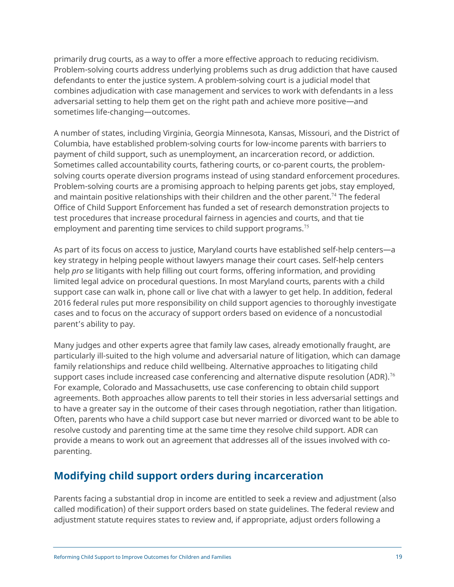<span id="page-18-0"></span>primarily drug courts, as a way to offer a more effective approach to reducing recidivism. Problem-solving courts address underlying problems such as drug addiction that have caused defendants to enter the justice system. A problem-solving court is a judicial model that combines adjudication with case management and services to work with defendants in a less adversarial setting to help them get on the right path and achieve more positive—and sometimes life-changing—outcomes.

A number of states, including Virginia, Georgia Minnesota, Kansas, Missouri, and the District of Columbia, have established problem-solving courts for low-income parents with barriers to payment of child support, such as unemployment, an incarceration record, or addiction. Sometimes called accountability courts, fathering courts, or co-parent courts, the problemsolving courts operate diversion programs instead of using standard enforcement procedures. Problem-solving courts are a promising approach to helping parents get jobs, stay employed, and maintain positive relationships with their children and the other parent.<sup>74</sup> The federal Office of Child Support Enforcement has funded a set of research demonstration projects to test procedures that increase procedural fairness in agencies and courts, and that tie employment and parenting time services to child support programs.<sup>75</sup>

As part of its focus on access to justice, Maryland courts have established self-help centers—a key strategy in helping people without lawyers manage their court cases. Self-help centers help *pro se* litigants with help filling out court forms, offering information, and providing limited legal advice on procedural questions. In most Maryland courts, parents with a child support case can walk in, phone call or live chat with a lawyer to get help. In addition, federal 2016 federal rules put more responsibility on child support agencies to thoroughly investigate cases and to focus on the accuracy of support orders based on evidence of a noncustodial parent's ability to pay.

Many judges and other experts agree that family law cases, already emotionally fraught, are particularly ill-suited to the high volume and adversarial nature of litigation, which can damage family relationships and reduce child wellbeing. Alternative approaches to litigating child support cases include increased case conferencing and alternative dispute resolution (ADR).<sup>76</sup> For example, Colorado and Massachusetts, use case conferencing to obtain child support agreements. Both approaches allow parents to tell their stories in less adversarial settings and to have a greater say in the outcome of their cases through negotiation, rather than litigation. Often, parents who have a child support case but never married or divorced want to be able to resolve custody and parenting time at the same time they resolve child support. ADR can provide a means to work out an agreement that addresses all of the issues involved with coparenting.

## **Modifying child support orders during incarceration**

Parents facing a substantial drop in income are entitled to seek a review and adjustment (also called modification) of their support orders based on state guidelines. The federal review and adjustment statute requires states to review and, if appropriate, adjust orders following a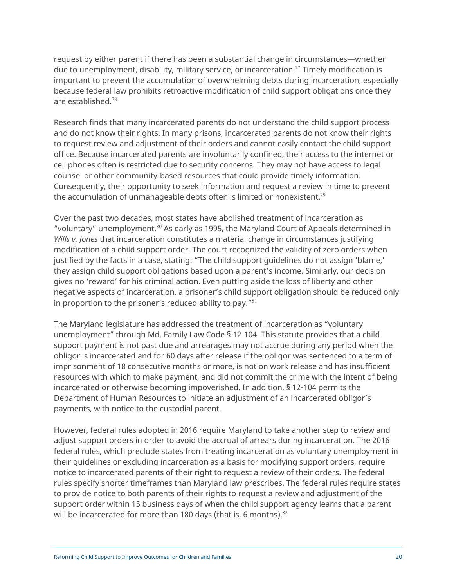request by either parent if there has been a substantial change in circumstances—whether due to unemployment, disability, military service, or incarceration.<sup>77</sup> Timely modification is important to prevent the accumulation of overwhelming debts during incarceration, especially because federal law prohibits retroactive modification of child support obligations once they are established. 78

Research finds that many incarcerated parents do not understand the child support process and do not know their rights. In many prisons, incarcerated parents do not know their rights to request review and adjustment of their orders and cannot easily contact the child support office. Because incarcerated parents are involuntarily confined, their access to the internet or cell phones often is restricted due to security concerns. They may not have access to legal counsel or other community-based resources that could provide timely information. Consequently, their opportunity to seek information and request a review in time to prevent the accumulation of unmanageable debts often is limited or nonexistent.<sup>79</sup>

Over the past two decades, most states have abolished treatment of incarceration as "voluntary" unemployment.<sup>80</sup> As early as 1995, the Maryland Court of Appeals determined in *Wills v. Jones* that incarceration constitutes a material change in circumstances justifying modification of a child support order. The court recognized the validity of zero orders when justified by the facts in a case, stating: "The child support guidelines do not assign 'blame,' they assign child support obligations based upon a parent's income. Similarly, our decision gives no 'reward' for his criminal action. Even putting aside the loss of liberty and other negative aspects of incarceration, a prisoner's child support obligation should be reduced only in proportion to the prisoner's reduced ability to pay."<sup>81</sup>

The Maryland legislature has addressed the treatment of incarceration as "voluntary unemployment" through Md. Family Law Code § 12-104. This statute provides that a child support payment is not past due and arrearages may not accrue during any period when the obligor is incarcerated and for 60 days after release if the obligor was sentenced to a term of imprisonment of 18 consecutive months or more, is not on work release and has insufficient resources with which to make payment, and did not commit the crime with the intent of being incarcerated or otherwise becoming impoverished. In addition, § 12-104 permits the Department of Human Resources to initiate an adjustment of an incarcerated obligor's payments, with notice to the custodial parent.

However, federal rules adopted in 2016 require Maryland to take another step to review and adjust support orders in order to avoid the accrual of arrears during incarceration. The 2016 federal rules, which preclude states from treating incarceration as voluntary unemployment in their guidelines or excluding incarceration as a basis for modifying support orders, require notice to incarcerated parents of their right to request a review of their orders. The federal rules specify shorter timeframes than Maryland law prescribes. The federal rules require states to provide notice to both parents of their rights to request a review and adjustment of the support order within 15 business days of when the child support agency learns that a parent will be incarcerated for more than 180 days (that is, 6 months). $82$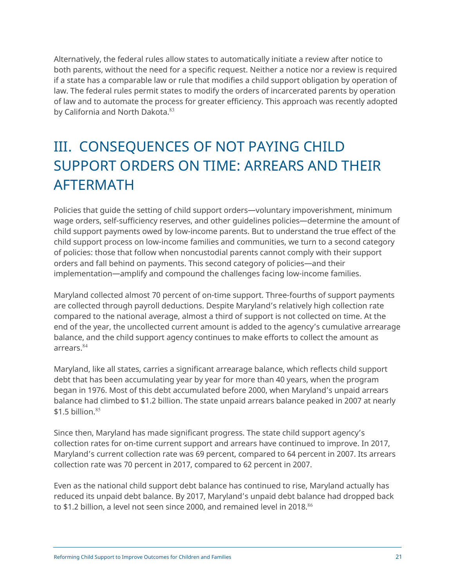<span id="page-20-0"></span>Alternatively, the federal rules allow states to automatically initiate a review after notice to both parents, without the need for a specific request. Neither a notice nor a review is required if a state has a comparable law or rule that modifies a child support obligation by operation of law. The federal rules permit states to modify the orders of incarcerated parents by operation of law and to automate the process for greater efficiency. This approach was recently adopted by California and North Dakota.<sup>83</sup>

# III. CONSEQUENCES OF NOT PAYING CHILD SUPPORT ORDERS ON TIME: ARREARS AND THEIR AFTERMATH

Policies that guide the setting of child support orders—voluntary impoverishment, minimum wage orders, self-sufficiency reserves, and other guidelines policies—determine the amount of child support payments owed by low-income parents. But to understand the true effect of the child support process on low-income families and communities, we turn to a second category of policies: those that follow when noncustodial parents cannot comply with their support orders and fall behind on payments. This second category of policies—and their implementation—amplify and compound the challenges facing low-income families.

Maryland collected almost 70 percent of on-time support. Three-fourths of support payments are collected through payroll deductions. Despite Maryland's relatively high collection rate compared to the national average, almost a third of support is not collected on time. At the end of the year, the uncollected current amount is added to the agency's cumulative arrearage balance, and the child support agency continues to make efforts to collect the amount as arrears.<sup>84</sup>

Maryland, like all states, carries a significant arrearage balance, which reflects child support debt that has been accumulating year by year for more than 40 years, when the program began in 1976. Most of this debt accumulated before 2000, when Maryland's unpaid arrears balance had climbed to \$1.2 billion. The state unpaid arrears balance peaked in 2007 at nearly  $$1.5$  billion.<sup>85</sup>

Since then, Maryland has made significant progress. The state child support agency's collection rates for on-time current support and arrears have continued to improve. In 2017, Maryland's current collection rate was 69 percent, compared to 64 percent in 2007. Its arrears collection rate was 70 percent in 2017, compared to 62 percent in 2007.

Even as the national child support debt balance has continued to rise, Maryland actually has reduced its unpaid debt balance. By 2017, Maryland's unpaid debt balance had dropped back to \$1.2 billion, a level not seen since 2000, and remained level in 2018. $^{86}$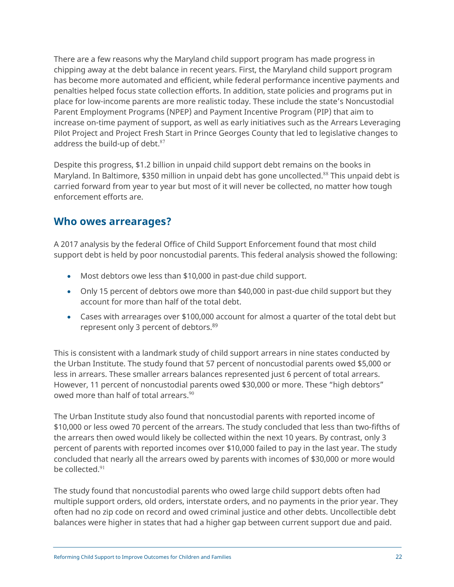<span id="page-21-0"></span>There are a few reasons why the Maryland child support program has made progress in chipping away at the debt balance in recent years. First, the Maryland child support program has become more automated and efficient, while federal performance incentive payments and penalties helped focus state collection efforts. In addition, state policies and programs put in place for low-income parents are more realistic today. These include the state's Noncustodial Parent Employment Programs (NPEP) and Payment Incentive Program (PIP) that aim to increase on-time payment of support, as well as early initiatives such as the Arrears Leveraging Pilot Project and Project Fresh Start in Prince Georges County that led to legislative changes to address the build-up of debt. $87$ 

Despite this progress, \$1.2 billion in unpaid child support debt remains on the books in Maryland. In Baltimore, \$350 million in unpaid debt has gone uncollected.<sup>88</sup> This unpaid debt is carried forward from year to year but most of it will never be collected, no matter how tough enforcement efforts are.

### **Who owes arrearages?**

A 2017 analysis by the federal Office of Child Support Enforcement found that most child support debt is held by poor noncustodial parents. This federal analysis showed the following:

- Most debtors owe less than \$10,000 in past-due child support.
- Only 15 percent of debtors owe more than \$40,000 in past-due child support but they account for more than half of the total debt.
- Cases with arrearages over \$100,000 account for almost a quarter of the total debt but represent only 3 percent of debtors.<sup>89</sup>

This is consistent with a landmark study of child support arrears in nine states conducted by the Urban Institute. The study found that 57 percent of noncustodial parents owed \$5,000 or less in arrears. These smaller arrears balances represented just 6 percent of total arrears. However, 11 percent of noncustodial parents owed \$30,000 or more. These "high debtors" owed more than half of total arrears.<sup>90</sup>

The Urban Institute study also found that noncustodial parents with reported income of \$10,000 or less owed 70 percent of the arrears. The study concluded that less than two-fifths of the arrears then owed would likely be collected within the next 10 years. By contrast, only 3 percent of parents with reported incomes over \$10,000 failed to pay in the last year. The study concluded that nearly all the arrears owed by parents with incomes of \$30,000 or more would be collected.<sup>91</sup>

The study found that noncustodial parents who owed large child support debts often had multiple support orders, old orders, interstate orders, and no payments in the prior year. They often had no zip code on record and owed criminal justice and other debts. Uncollectible debt balances were higher in states that had a higher gap between current support due and paid.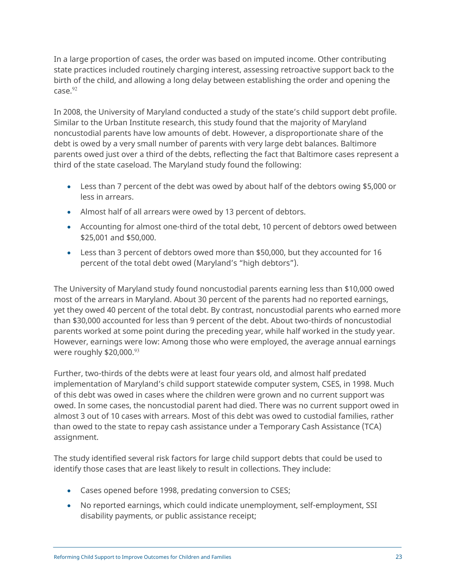In a large proportion of cases, the order was based on imputed income. Other contributing state practices included routinely charging interest, assessing retroactive support back to the birth of the child, and allowing a long delay between establishing the order and opening the  $case<sup>92</sup>$ 

In 2008, the University of Maryland conducted a study of the state's child support debt profile. Similar to the Urban Institute research, this study found that the majority of Maryland noncustodial parents have low amounts of debt. However, a disproportionate share of the debt is owed by a very small number of parents with very large debt balances. Baltimore parents owed just over a third of the debts, reflecting the fact that Baltimore cases represent a third of the state caseload. The Maryland study found the following:

- Less than 7 percent of the debt was owed by about half of the debtors owing \$5,000 or less in arrears.
- Almost half of all arrears were owed by 13 percent of debtors.
- Accounting for almost one-third of the total debt, 10 percent of debtors owed between \$25,001 and \$50,000.
- Less than 3 percent of debtors owed more than \$50,000, but they accounted for 16 percent of the total debt owed (Maryland's "high debtors").

The University of Maryland study found noncustodial parents earning less than \$10,000 owed most of the arrears in Maryland. About 30 percent of the parents had no reported earnings, yet they owed 40 percent of the total debt. By contrast, noncustodial parents who earned more than \$30,000 accounted for less than 9 percent of the debt. About two-thirds of noncustodial parents worked at some point during the preceding year, while half worked in the study year. However, earnings were low: Among those who were employed, the average annual earnings were roughly  $$20,000.<sup>93</sup>$ 

Further, two-thirds of the debts were at least four years old, and almost half predated implementation of Maryland's child support statewide computer system, CSES, in 1998. Much of this debt was owed in cases where the children were grown and no current support was owed. In some cases, the noncustodial parent had died. There was no current support owed in almost 3 out of 10 cases with arrears. Most of this debt was owed to custodial families, rather than owed to the state to repay cash assistance under a Temporary Cash Assistance (TCA) assignment.

The study identified several risk factors for large child support debts that could be used to identify those cases that are least likely to result in collections. They include:

- Cases opened before 1998, predating conversion to CSES;
- No reported earnings, which could indicate unemployment, self-employment, SSI disability payments, or public assistance receipt;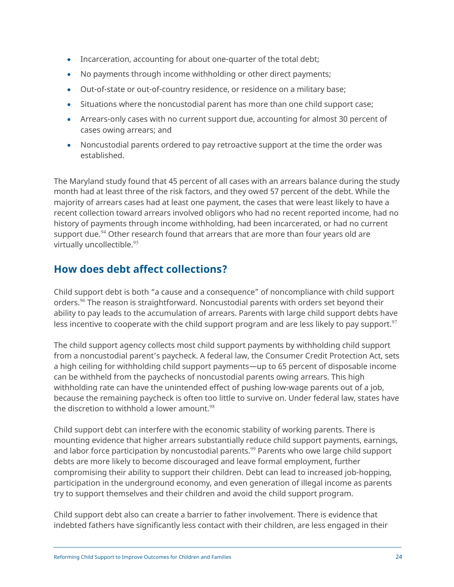- <span id="page-23-0"></span>• Incarceration, accounting for about one-quarter of the total debt;
- No payments through income withholding or other direct payments;
- Out-of-state or out-of-country residence, or residence on a military base;
- Situations where the noncustodial parent has more than one child support case;
- Arrears-only cases with no current support due, accounting for almost 30 percent of cases owing arrears; and
- Noncustodial parents ordered to pay retroactive support at the time the order was established.

The Maryland study found that 45 percent of all cases with an arrears balance during the study month had at least three of the risk factors, and they owed 57 percent of the debt. While the majority of arrears cases had at least one payment, the cases that were least likely to have a recent collection toward arrears involved obligors who had no recent reported income, had no history of payments through income withholding, had been incarcerated, or had no current support due.<sup>94</sup> Other research found that arrears that are more than four years old are virtually uncollectible.<sup>95</sup>

## **How does debt affect collections?**

Child support debt is both "a cause and a consequence" of noncompliance with child support orders.<sup>96</sup> The reason is straightforward. Noncustodial parents with orders set beyond their ability to pay leads to the accumulation of arrears. Parents with large child support debts have less incentive to cooperate with the child support program and are less likely to pay support.<sup>97</sup>

The child support agency collects most child support payments by withholding child support from a noncustodial parent's paycheck. A federal law, the Consumer Credit Protection Act, sets a high ceiling for withholding child support payments—up to 65 percent of disposable income can be withheld from the paychecks of noncustodial parents owing arrears. This high withholding rate can have the unintended effect of pushing low-wage parents out of a job, because the remaining paycheck is often too little to survive on. Under federal law, states have the discretion to withhold a lower amount. $98$ 

Child support debt can interfere with the economic stability of working parents. There is mounting evidence that higher arrears substantially reduce child support payments, earnings, and labor force participation by noncustodial parents.<sup>99</sup> Parents who owe large child support debts are more likely to become discouraged and leave formal employment, further compromising their ability to support their children. Debt can lead to increased job-hopping, participation in the underground economy, and even generation of illegal income as parents try to support themselves and their children and avoid the child support program.

Child support debt also can create a barrier to father involvement. There is evidence that indebted fathers have significantly less contact with their children, are less engaged in their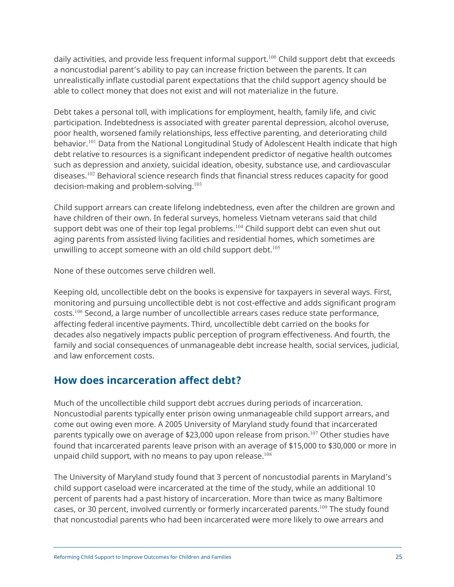<span id="page-24-0"></span>daily activities, and provide less frequent informal support.<sup>100</sup> Child support debt that exceeds a noncustodial parent's ability to pay can increase friction between the parents. It can unrealistically inflate custodial parent expectations that the child support agency should be able to collect money that does not exist and will not materialize in the future.

Debt takes a personal toll, with implications for employment, health, family life, and civic participation. Indebtedness is associated with greater parental depression, alcohol overuse, poor health, worsened family relationships, less effective parenting, and deteriorating child behavior.<sup>101</sup> Data from the National Longitudinal Study of Adolescent Health indicate that high debt relative to resources is a significant independent predictor of negative health outcomes such as depression and anxiety, suicidal ideation, obesity, substance use, and cardiovascular diseases.<sup>102</sup> Behavioral science research finds that financial stress reduces capacity for good decision-making and problem-solving.<sup>103</sup>

Child support arrears can create lifelong indebtedness, even after the children are grown and have children of their own. In federal surveys, homeless Vietnam veterans said that child support debt was one of their top legal problems.<sup>104</sup> Child support debt can even shut out aging parents from assisted living facilities and residential homes, which sometimes are unwilling to accept someone with an old child support debt. $105$ 

None of these outcomes serve children well.

Keeping old, uncollectible debt on the books is expensive for taxpayers in several ways. First, monitoring and pursuing uncollectible debt is not cost-effective and adds significant program costs.<sup>106</sup> Second, a large number of uncollectible arrears cases reduce state performance, affecting federal incentive payments. Third, uncollectible debt carried on the books for decades also negatively impacts public perception of program effectiveness. And fourth, the family and social consequences of unmanageable debt increase health, social services, judicial, and law enforcement costs.

## **How does incarceration affect debt?**

Much of the uncollectible child support debt accrues during periods of incarceration. Noncustodial parents typically enter prison owing unmanageable child support arrears, and come out owing even more. A 2005 University of Maryland study found that incarcerated parents typically owe on average of \$23,000 upon release from prison. <sup>107</sup> Other studies have found that incarcerated parents leave prison with an average of \$15,000 to \$30,000 or more in unpaid child support, with no means to pay upon release.<sup>108</sup>

The University of Maryland study found that 3 percent of noncustodial parents in Maryland's child support caseload were incarcerated at the time of the study, while an additional 10 percent of parents had a past history of incarceration. More than twice as many Baltimore cases, or 30 percent, involved currently or formerly incarcerated parents.<sup>109</sup> The study found that noncustodial parents who had been incarcerated were more likely to owe arrears and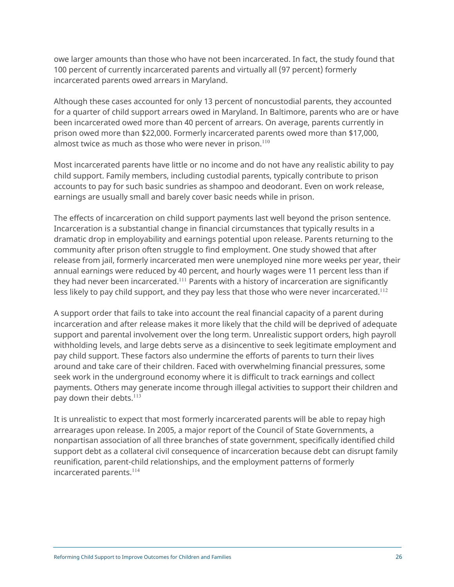owe larger amounts than those who have not been incarcerated. In fact, the study found that 100 percent of currently incarcerated parents and virtually all (97 percent) formerly incarcerated parents owed arrears in Maryland.

Although these cases accounted for only 13 percent of noncustodial parents, they accounted for a quarter of child support arrears owed in Maryland. In Baltimore, parents who are or have been incarcerated owed more than 40 percent of arrears. On average, parents currently in prison owed more than \$22,000. Formerly incarcerated parents owed more than \$17,000, almost twice as much as those who were never in prison. $110$ 

Most incarcerated parents have little or no income and do not have any realistic ability to pay child support. Family members, including custodial parents, typically contribute to prison accounts to pay for such basic sundries as shampoo and deodorant. Even on work release, earnings are usually small and barely cover basic needs while in prison.

The effects of incarceration on child support payments last well beyond the prison sentence. Incarceration is a substantial change in financial circumstances that typically results in a dramatic drop in employability and earnings potential upon release. Parents returning to the community after prison often struggle to find employment. One study showed that after release from jail, formerly incarcerated men were unemployed nine more weeks per year, their annual earnings were reduced by 40 percent, and hourly wages were 11 percent less than if they had never been incarcerated.<sup>111</sup> Parents with a history of incarceration are significantly less likely to pay child support, and they pay less that those who were never incarcerated.<sup>112</sup>

A support order that fails to take into account the real financial capacity of a parent during incarceration and after release makes it more likely that the child will be deprived of adequate support and parental involvement over the long term. Unrealistic support orders, high payroll withholding levels, and large debts serve as a disincentive to seek legitimate employment and pay child support. These factors also undermine the efforts of parents to turn their lives around and take care of their children. Faced with overwhelming financial pressures, some seek work in the underground economy where it is difficult to track earnings and collect payments. Others may generate income through illegal activities to support their children and pay down their debts.<sup>113</sup>

It is unrealistic to expect that most formerly incarcerated parents will be able to repay high arrearages upon release. In 2005, a major report of the Council of State Governments, a nonpartisan association of all three branches of state government, specifically identified child support debt as a collateral civil consequence of incarceration because debt can disrupt family reunification, parent-child relationships, and the employment patterns of formerly incarcerated parents. 114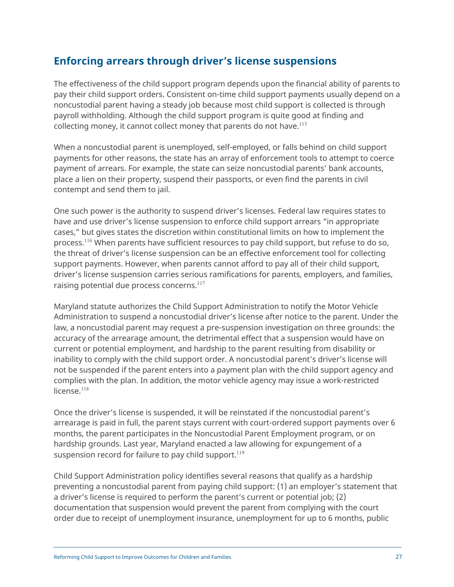## <span id="page-26-0"></span>**Enforcing arrears through driver's license suspensions**

The effectiveness of the child support program depends upon the financial ability of parents to pay their child support orders. Consistent on-time child support payments usually depend on a noncustodial parent having a steady job because most child support is collected is through payroll withholding. Although the child support program is quite good at finding and collecting money, it cannot collect money that parents do not have.<sup>115</sup>

When a noncustodial parent is unemployed, self-employed, or falls behind on child support payments for other reasons, the state has an array of enforcement tools to attempt to coerce payment of arrears. For example, the state can seize noncustodial parents' bank accounts, place a lien on their property, suspend their passports, or even find the parents in civil contempt and send them to jail.

One such power is the authority to suspend driver's licenses. Federal law requires states to have and use driver's license suspension to enforce child support arrears "in appropriate cases," but gives states the discretion within constitutional limits on how to implement the process.<sup>116</sup> When parents have sufficient resources to pay child support, but refuse to do so, the threat of driver's license suspension can be an effective enforcement tool for collecting support payments. However, when parents cannot afford to pay all of their child support, driver's license suspension carries serious ramifications for parents, employers, and families, raising potential due process concerns.<sup>117</sup>

Maryland statute authorizes the Child Support Administration to notify the Motor Vehicle Administration to suspend a noncustodial driver's license after notice to the parent. Under the law, a noncustodial parent may request a pre-suspension investigation on three grounds: the accuracy of the arrearage amount, the detrimental effect that a suspension would have on current or potential employment, and hardship to the parent resulting from disability or inability to comply with the child support order. A noncustodial parent's driver's license will not be suspended if the parent enters into a payment plan with the child support agency and complies with the plan. In addition, the motor vehicle agency may issue a work-restricted license. $118$ 

Once the driver's license is suspended, it will be reinstated if the noncustodial parent's arrearage is paid in full, the parent stays current with court-ordered support payments over 6 months, the parent participates in the Noncustodial Parent Employment program, or on hardship grounds. Last year, Maryland enacted a law allowing for expungement of a suspension record for failure to pay child support. $^{119}$ 

Child Support Administration policy identifies several reasons that qualify as a hardship preventing a noncustodial parent from paying child support: (1) an employer's statement that a driver's license is required to perform the parent's current or potential job; (2) documentation that suspension would prevent the parent from complying with the court order due to receipt of unemployment insurance, unemployment for up to 6 months, public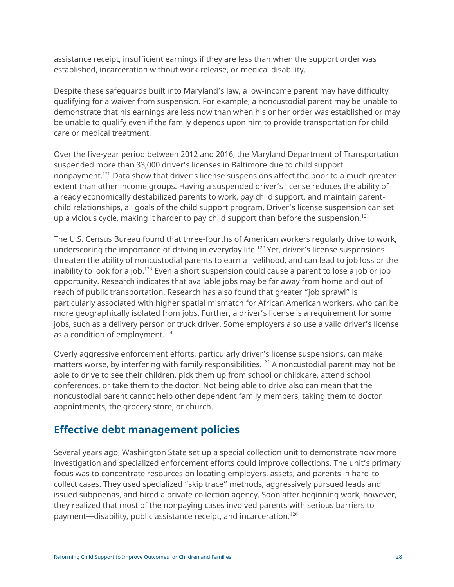<span id="page-27-0"></span>assistance receipt, insufficient earnings if they are less than when the support order was established, incarceration without work release, or medical disability.

Despite these safeguards built into Maryland's law, a low-income parent may have difficulty qualifying for a waiver from suspension. For example, a noncustodial parent may be unable to demonstrate that his earnings are less now than when his or her order was established or may be unable to qualify even if the family depends upon him to provide transportation for child care or medical treatment.

Over the five-year period between 2012 and 2016, the Maryland Department of Transportation suspended more than 33,000 driver's licenses in Baltimore due to child support nonpayment.<sup>120</sup> Data show that driver's license suspensions affect the poor to a much greater extent than other income groups. Having a suspended driver's license reduces the ability of already economically destabilized parents to work, pay child support, and maintain parentchild relationships, all goals of the child support program. Driver's license suspension can set up a vicious cycle, making it harder to pay child support than before the suspension.<sup>121</sup>

The U.S. Census Bureau found that three-fourths of American workers regularly drive to work, underscoring the importance of driving in everyday life.<sup>122</sup> Yet, driver's license suspensions threaten the ability of noncustodial parents to earn a livelihood, and can lead to job loss or the inability to look for a job.<sup>123</sup> Even a short suspension could cause a parent to lose a job or job opportunity. Research indicates that available jobs may be far away from home and out of reach of public transportation. Research has also found that greater "job sprawl" is particularly associated with higher spatial mismatch for African American workers, who can be more geographically isolated from jobs. Further, a driver's license is a requirement for some jobs, such as a delivery person or truck driver. Some employers also use a valid driver's license as a condition of employment. $124$ 

Overly aggressive enforcement efforts, particularly driver's license suspensions, can make matters worse, by interfering with family responsibilities. <sup>125</sup> A noncustodial parent may not be able to drive to see their children, pick them up from school or childcare, attend school conferences, or take them to the doctor. Not being able to drive also can mean that the noncustodial parent cannot help other dependent family members, taking them to doctor appointments, the grocery store, or church.

## **Effective debt management policies**

Several years ago, Washington State set up a special collection unit to demonstrate how more investigation and specialized enforcement efforts could improve collections. The unit's primary focus was to concentrate resources on locating employers, assets, and parents in hard-tocollect cases. They used specialized "skip trace" methods, aggressively pursued leads and issued subpoenas, and hired a private collection agency. Soon after beginning work, however, they realized that most of the nonpaying cases involved parents with serious barriers to payment—disability, public assistance receipt, and incarceration.<sup>126</sup>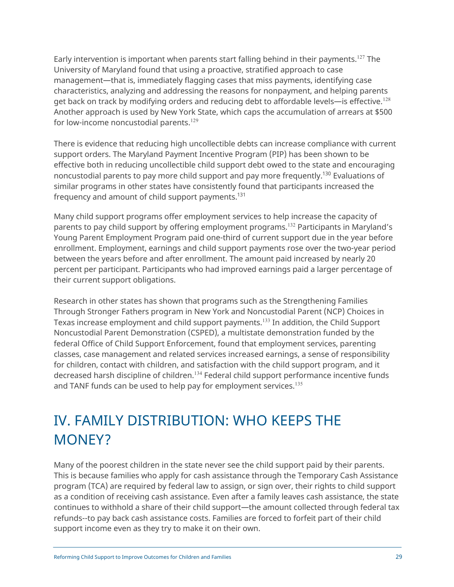<span id="page-28-0"></span>Early intervention is important when parents start falling behind in their payments.<sup>127</sup> The University of Maryland found that using a proactive, stratified approach to case management—that is, immediately flagging cases that miss payments, identifying case characteristics, analyzing and addressing the reasons for nonpayment, and helping parents get back on track by modifying orders and reducing debt to affordable levels—is effective.<sup>128</sup> Another approach is used by New York State, which caps the accumulation of arrears at \$500 for low-income noncustodial parents.<sup>129</sup>

There is evidence that reducing high uncollectible debts can increase compliance with current support orders. The Maryland Payment Incentive Program (PIP) has been shown to be effective both in reducing uncollectible child support debt owed to the state and encouraging noncustodial parents to pay more child support and pay more frequently.<sup>130</sup> Evaluations of similar programs in other states have consistently found that participants increased the frequency and amount of child support payments.<sup>131</sup>

Many child support programs offer employment services to help increase the capacity of parents to pay child support by offering employment programs.<sup>132</sup> Participants in Maryland's Young Parent Employment Program paid one-third of current support due in the year before enrollment. Employment, earnings and child support payments rose over the two-year period between the years before and after enrollment. The amount paid increased by nearly 20 percent per participant. Participants who had improved earnings paid a larger percentage of their current support obligations.

Research in other states has shown that programs such as the Strengthening Families Through Stronger Fathers program in New York and Noncustodial Parent (NCP) Choices in Texas increase employment and child support payments.<sup>133</sup> In addition, the Child Support Noncustodial Parent Demonstration (CSPED), a multistate demonstration funded by the federal Office of Child Support Enforcement, found that employment services, parenting classes, case management and related services increased earnings, a sense of responsibility for children, contact with children, and satisfaction with the child support program, and it decreased harsh discipline of children.<sup>134</sup> Federal child support performance incentive funds and TANF funds can be used to help pay for employment services.<sup>135</sup>

# IV. FAMILY DISTRIBUTION: WHO KEEPS THE MONEY?

Many of the poorest children in the state never see the child support paid by their parents. This is because families who apply for cash assistance through the Temporary Cash Assistance program (TCA) are required by federal law to assign, or sign over, their rights to child support as a condition of receiving cash assistance. Even after a family leaves cash assistance, the state continues to withhold a share of their child support—the amount collected through federal tax refunds--to pay back cash assistance costs. Families are forced to forfeit part of their child support income even as they try to make it on their own.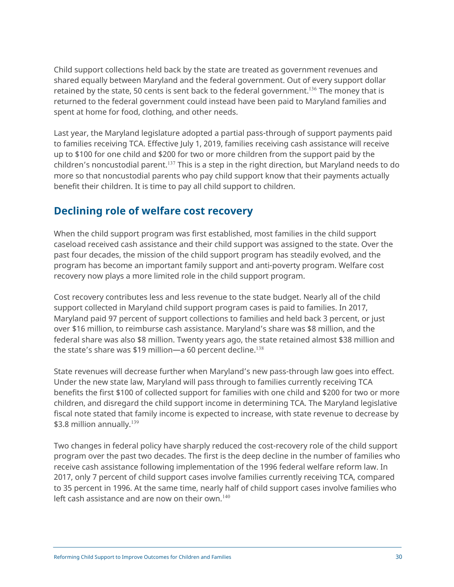<span id="page-29-0"></span>Child support collections held back by the state are treated as government revenues and shared equally between Maryland and the federal government. Out of every support dollar retained by the state, 50 cents is sent back to the federal government.<sup>136</sup> The money that is returned to the federal government could instead have been paid to Maryland families and spent at home for food, clothing, and other needs.

Last year, the Maryland legislature adopted a partial pass-through of support payments paid to families receiving TCA. Effective July 1, 2019, families receiving cash assistance will receive up to \$100 for one child and \$200 for two or more children from the support paid by the children's noncustodial parent.<sup>137</sup> This is a step in the right direction, but Maryland needs to do more so that noncustodial parents who pay child support know that their payments actually benefit their children. It is time to pay all child support to children.

## **Declining role of welfare cost recovery**

When the child support program was first established, most families in the child support caseload received cash assistance and their child support was assigned to the state. Over the past four decades, the mission of the child support program has steadily evolved, and the program has become an important family support and anti-poverty program. Welfare cost recovery now plays a more limited role in the child support program.

Cost recovery contributes less and less revenue to the state budget. Nearly all of the child support collected in Maryland child support program cases is paid to families. In 2017, Maryland paid 97 percent of support collections to families and held back 3 percent, or just over \$16 million, to reimburse cash assistance. Maryland's share was \$8 million, and the federal share was also \$8 million. Twenty years ago, the state retained almost \$38 million and the state's share was \$19 million—a 60 percent decline. $^{138}$ 

State revenues will decrease further when Maryland's new pass-through law goes into effect. Under the new state law, Maryland will pass through to families currently receiving TCA benefits the first \$100 of collected support for families with one child and \$200 for two or more children, and disregard the child support income in determining TCA. The Maryland legislative fiscal note stated that family income is expected to increase, with state revenue to decrease by \$3.8 million annually. $139$ 

Two changes in federal policy have sharply reduced the cost-recovery role of the child support program over the past two decades. The first is the deep decline in the number of families who receive cash assistance following implementation of the 1996 federal welfare reform law. In 2017, only 7 percent of child support cases involve families currently receiving TCA, compared to 35 percent in 1996. At the same time, nearly half of child support cases involve families who left cash assistance and are now on their own. $140$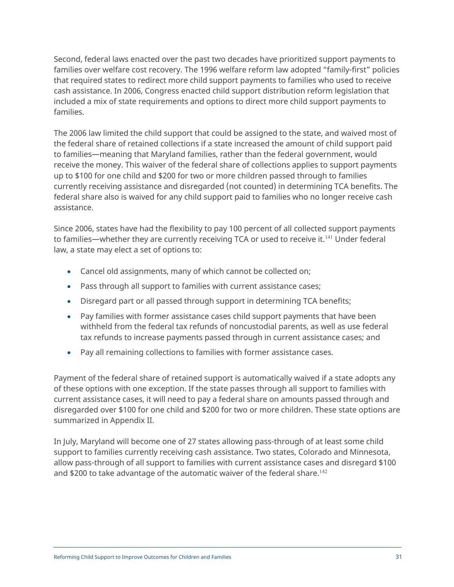Second, federal laws enacted over the past two decades have prioritized support payments to families over welfare cost recovery. The 1996 welfare reform law adopted "family-first" policies that required states to redirect more child support payments to families who used to receive cash assistance. In 2006, Congress enacted child support distribution reform legislation that included a mix of state requirements and options to direct more child support payments to families.

The 2006 law limited the child support that could be assigned to the state, and waived most of the federal share of retained collections if a state increased the amount of child support paid to families—meaning that Maryland families, rather than the federal government, would receive the money. This waiver of the federal share of collections applies to support payments up to \$100 for one child and \$200 for two or more children passed through to families currently receiving assistance and disregarded (not counted) in determining TCA benefits. The federal share also is waived for any child support paid to families who no longer receive cash assistance.

Since 2006, states have had the flexibility to pay 100 percent of all collected support payments to families—whether they are currently receiving TCA or used to receive it.<sup>141</sup> Under federal law, a state may elect a set of options to:

- Cancel old assignments, many of which cannot be collected on;
- Pass through all support to families with current assistance cases;
- Disregard part or all passed through support in determining TCA benefits;
- Pay families with former assistance cases child support payments that have been withheld from the federal tax refunds of noncustodial parents, as well as use federal tax refunds to increase payments passed through in current assistance cases; and
- Pay all remaining collections to families with former assistance cases.

Payment of the federal share of retained support is automatically waived if a state adopts any of these options with one exception. If the state passes through all support to families with current assistance cases, it will need to pay a federal share on amounts passed through and disregarded over \$100 for one child and \$200 for two or more children. These state options are summarized in Appendix II.

In July, Maryland will become one of 27 states allowing pass-through of at least some child support to families currently receiving cash assistance. Two states, Colorado and Minnesota, allow pass-through of all support to families with current assistance cases and disregard \$100 and \$200 to take advantage of the automatic waiver of the federal share.<sup>142</sup>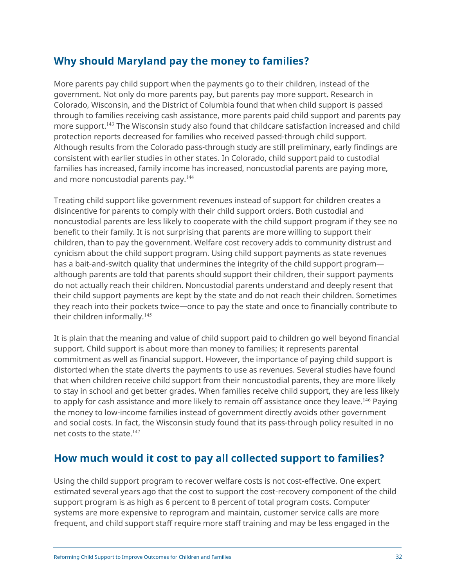## <span id="page-31-0"></span>**Why should Maryland pay the money to families?**

More parents pay child support when the payments go to their children, instead of the government. Not only do more parents pay, but parents pay more support. Research in Colorado, Wisconsin, and the District of Columbia found that when child support is passed through to families receiving cash assistance, more parents paid child support and parents pay more support.<sup>143</sup> The Wisconsin study also found that childcare satisfaction increased and child protection reports decreased for families who received passed-through child support. Although results from the Colorado pass-through study are still preliminary, early findings are consistent with earlier studies in other states. In Colorado, child support paid to custodial families has increased, family income has increased, noncustodial parents are paying more, and more noncustodial parents pay.<sup>144</sup>

Treating child support like government revenues instead of support for children creates a disincentive for parents to comply with their child support orders. Both custodial and noncustodial parents are less likely to cooperate with the child support program if they see no benefit to their family. It is not surprising that parents are more willing to support their children, than to pay the government. Welfare cost recovery adds to community distrust and cynicism about the child support program. Using child support payments as state revenues has a bait-and-switch quality that undermines the integrity of the child support program although parents are told that parents should support their children, their support payments do not actually reach their children. Noncustodial parents understand and deeply resent that their child support payments are kept by the state and do not reach their children. Sometimes they reach into their pockets twice—once to pay the state and once to financially contribute to their children informally.<sup>145</sup>

It is plain that the meaning and value of child support paid to children go well beyond financial support. Child support is about more than money to families; it represents parental commitment as well as financial support. However, the importance of paying child support is distorted when the state diverts the payments to use as revenues. Several studies have found that when children receive child support from their noncustodial parents, they are more likely to stay in school and get better grades. When families receive child support, they are less likely to apply for cash assistance and more likely to remain off assistance once they leave.<sup>146</sup> Paying the money to low-income families instead of government directly avoids other government and social costs. In fact, the Wisconsin study found that its pass-through policy resulted in no net costs to the state.<sup>147</sup>

## **How much would it cost to pay all collected support to families?**

Using the child support program to recover welfare costs is not cost-effective. One expert estimated several years ago that the cost to support the cost-recovery component of the child support program is as high as 6 percent to 8 percent of total program costs. Computer systems are more expensive to reprogram and maintain, customer service calls are more frequent, and child support staff require more staff training and may be less engaged in the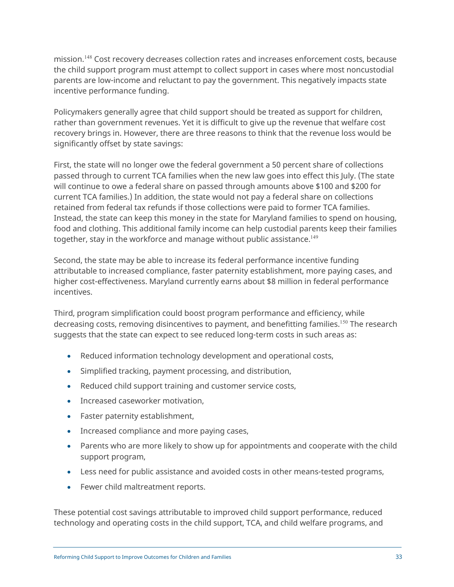mission.<sup>148</sup> Cost recovery decreases collection rates and increases enforcement costs, because the child support program must attempt to collect support in cases where most noncustodial parents are low-income and reluctant to pay the government. This negatively impacts state incentive performance funding.

Policymakers generally agree that child support should be treated as support for children, rather than government revenues. Yet it is difficult to give up the revenue that welfare cost recovery brings in. However, there are three reasons to think that the revenue loss would be significantly offset by state savings:

First, the state will no longer owe the federal government a 50 percent share of collections passed through to current TCA families when the new law goes into effect this July. (The state will continue to owe a federal share on passed through amounts above \$100 and \$200 for current TCA families.) In addition, the state would not pay a federal share on collections retained from federal tax refunds if those collections were paid to former TCA families. Instead, the state can keep this money in the state for Maryland families to spend on housing, food and clothing. This additional family income can help custodial parents keep their families together, stay in the workforce and manage without public assistance.<sup>149</sup>

Second, the state may be able to increase its federal performance incentive funding attributable to increased compliance, faster paternity establishment, more paying cases, and higher cost-effectiveness. Maryland currently earns about \$8 million in federal performance incentives.

Third, program simplification could boost program performance and efficiency, while decreasing costs, removing disincentives to payment, and benefitting families.<sup>150</sup> The research suggests that the state can expect to see reduced long-term costs in such areas as:

- Reduced information technology development and operational costs,
- Simplified tracking, payment processing, and distribution,
- Reduced child support training and customer service costs,
- Increased caseworker motivation,
- Faster paternity establishment,
- Increased compliance and more paying cases,
- Parents who are more likely to show up for appointments and cooperate with the child support program,
- Less need for public assistance and avoided costs in other means-tested programs,
- Fewer child maltreatment reports.

These potential cost savings attributable to improved child support performance, reduced technology and operating costs in the child support, TCA, and child welfare programs, and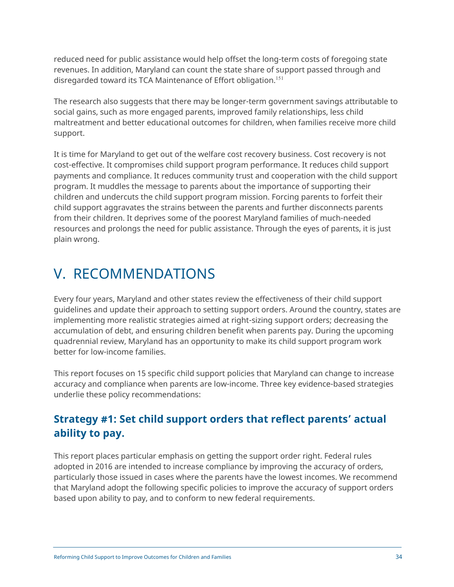<span id="page-33-0"></span>reduced need for public assistance would help offset the long-term costs of foregoing state revenues. In addition, Maryland can count the state share of support passed through and disregarded toward its TCA Maintenance of Effort obligation.<sup>151</sup>

The research also suggests that there may be longer-term government savings attributable to social gains, such as more engaged parents, improved family relationships, less child maltreatment and better educational outcomes for children, when families receive more child support.

It is time for Maryland to get out of the welfare cost recovery business. Cost recovery is not cost-effective. It compromises child support program performance. It reduces child support payments and compliance. It reduces community trust and cooperation with the child support program. It muddles the message to parents about the importance of supporting their children and undercuts the child support program mission. Forcing parents to forfeit their child support aggravates the strains between the parents and further disconnects parents from their children. It deprives some of the poorest Maryland families of much-needed resources and prolongs the need for public assistance. Through the eyes of parents, it is just plain wrong.

# V. RECOMMENDATIONS

Every four years, Maryland and other states review the effectiveness of their child support guidelines and update their approach to setting support orders. Around the country, states are implementing more realistic strategies aimed at right-sizing support orders; decreasing the accumulation of debt, and ensuring children benefit when parents pay. During the upcoming quadrennial review, Maryland has an opportunity to make its child support program work better for low-income families.

This report focuses on 15 specific child support policies that Maryland can change to increase accuracy and compliance when parents are low-income. Three key evidence-based strategies underlie these policy recommendations:

## **Strategy #1: Set child support orders that reflect parents' actual ability to pay.**

This report places particular emphasis on getting the support order right. Federal rules adopted in 2016 are intended to increase compliance by improving the accuracy of orders, particularly those issued in cases where the parents have the lowest incomes. We recommend that Maryland adopt the following specific policies to improve the accuracy of support orders based upon ability to pay, and to conform to new federal requirements.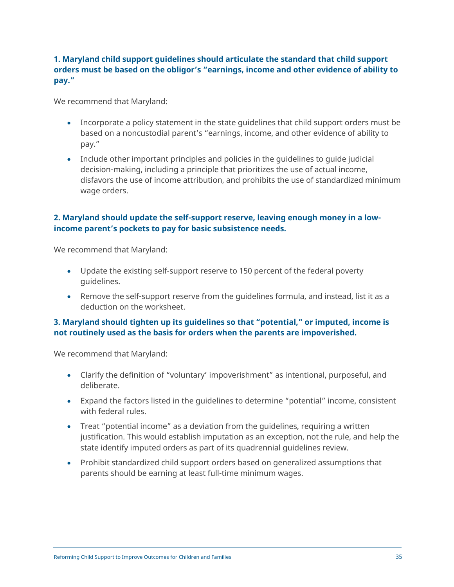### **1. Maryland child support guidelines should articulate the standard that child support orders must be based on the obligor's "earnings, income and other evidence of ability to pay."**

We recommend that Maryland:

- Incorporate a policy statement in the state guidelines that child support orders must be based on a noncustodial parent's "earnings, income, and other evidence of ability to pay."
- Include other important principles and policies in the guidelines to guide judicial decision-making, including a principle that prioritizes the use of actual income, disfavors the use of income attribution, and prohibits the use of standardized minimum wage orders.

#### **2. Maryland should update the self-support reserve, leaving enough money in a lowincome parent's pockets to pay for basic subsistence needs.**

We recommend that Maryland:

- Update the existing self-support reserve to 150 percent of the federal poverty guidelines.
- Remove the self-support reserve from the guidelines formula, and instead, list it as a deduction on the worksheet.

#### **3. Maryland should tighten up its guidelines so that "potential," or imputed, income is not routinely used as the basis for orders when the parents are impoverished.**

We recommend that Maryland:

- Clarify the definition of "voluntary' impoverishment" as intentional, purposeful, and deliberate.
- Expand the factors listed in the guidelines to determine "potential" income, consistent with federal rules.
- Treat "potential income" as a deviation from the guidelines, requiring a written justification. This would establish imputation as an exception, not the rule, and help the state identify imputed orders as part of its quadrennial guidelines review.
- Prohibit standardized child support orders based on generalized assumptions that parents should be earning at least full-time minimum wages.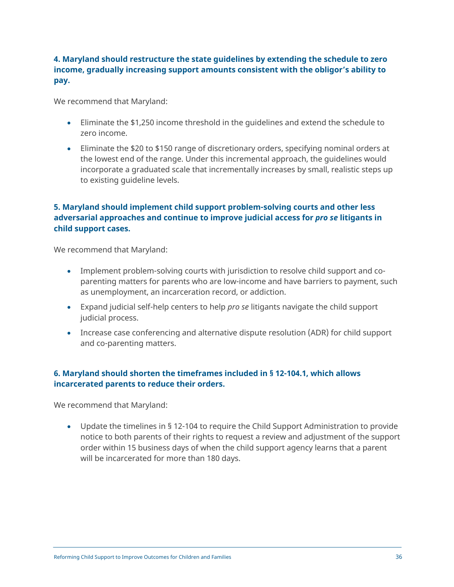### **4. Maryland should restructure the state guidelines by extending the schedule to zero income, gradually increasing support amounts consistent with the obligor's ability to pay.**

We recommend that Maryland:

- Eliminate the \$1,250 income threshold in the guidelines and extend the schedule to zero income.
- Eliminate the \$20 to \$150 range of discretionary orders, specifying nominal orders at the lowest end of the range. Under this incremental approach, the guidelines would incorporate a graduated scale that incrementally increases by small, realistic steps up to existing guideline levels.

### **5. Maryland should implement child support problem-solving courts and other less adversarial approaches and continue to improve judicial access for** *pro se* **litigants in child support cases.**

We recommend that Maryland:

- Implement problem-solving courts with jurisdiction to resolve child support and coparenting matters for parents who are low-income and have barriers to payment, such as unemployment, an incarceration record, or addiction.
- Expand judicial self-help centers to help *pro se* litigants navigate the child support judicial process.
- Increase case conferencing and alternative dispute resolution (ADR) for child support and co-parenting matters.

### **6. Maryland should shorten the timeframes included in § 12-104.1, which allows incarcerated parents to reduce their orders.**

We recommend that Maryland:

• Update the timelines in § 12-104 to require the Child Support Administration to provide notice to both parents of their rights to request a review and adjustment of the support order within 15 business days of when the child support agency learns that a parent will be incarcerated for more than 180 days.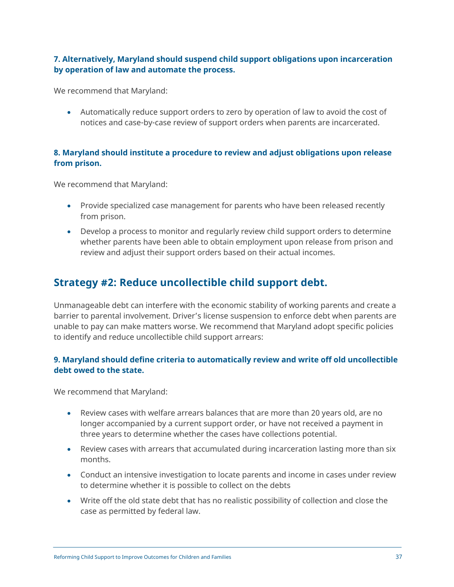#### <span id="page-36-0"></span>**7. Alternatively, Maryland should suspend child support obligations upon incarceration by operation of law and automate the process.**

We recommend that Maryland:

• Automatically reduce support orders to zero by operation of law to avoid the cost of notices and case-by-case review of support orders when parents are incarcerated.

#### **8. Maryland should institute a procedure to review and adjust obligations upon release from prison.**

We recommend that Maryland:

- Provide specialized case management for parents who have been released recently from prison.
- Develop a process to monitor and regularly review child support orders to determine whether parents have been able to obtain employment upon release from prison and review and adjust their support orders based on their actual incomes.

## **Strategy #2: Reduce uncollectible child support debt.**

Unmanageable debt can interfere with the economic stability of working parents and create a barrier to parental involvement. Driver's license suspension to enforce debt when parents are unable to pay can make matters worse. We recommend that Maryland adopt specific policies to identify and reduce uncollectible child support arrears:

#### **9. Maryland should define criteria to automatically review and write off old uncollectible debt owed to the state.**

We recommend that Maryland:

- Review cases with welfare arrears balances that are more than 20 years old, are no longer accompanied by a current support order, or have not received a payment in three years to determine whether the cases have collections potential.
- Review cases with arrears that accumulated during incarceration lasting more than six months.
- Conduct an intensive investigation to locate parents and income in cases under review to determine whether it is possible to collect on the debts
- Write off the old state debt that has no realistic possibility of collection and close the case as permitted by federal law.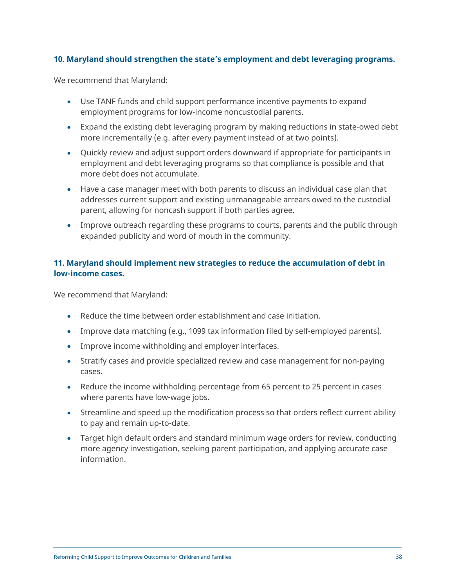#### **10. Maryland should strengthen the state's employment and debt leveraging programs.**

We recommend that Maryland:

- Use TANF funds and child support performance incentive payments to expand employment programs for low-income noncustodial parents.
- Expand the existing debt leveraging program by making reductions in state-owed debt more incrementally (e.g. after every payment instead of at two points).
- Quickly review and adjust support orders downward if appropriate for participants in employment and debt leveraging programs so that compliance is possible and that more debt does not accumulate.
- Have a case manager meet with both parents to discuss an individual case plan that addresses current support and existing unmanageable arrears owed to the custodial parent, allowing for noncash support if both parties agree.
- Improve outreach regarding these programs to courts, parents and the public through expanded publicity and word of mouth in the community.

#### **11. Maryland should implement new strategies to reduce the accumulation of debt in low-income cases.**

We recommend that Maryland:

- Reduce the time between order establishment and case initiation.
- Improve data matching (e.g., 1099 tax information filed by self-employed parents).
- Improve income withholding and employer interfaces.
- Stratify cases and provide specialized review and case management for non-paying cases.
- Reduce the income withholding percentage from 65 percent to 25 percent in cases where parents have low-wage jobs.
- Streamline and speed up the modification process so that orders reflect current ability to pay and remain up-to-date.
- Target high default orders and standard minimum wage orders for review, conducting more agency investigation, seeking parent participation, and applying accurate case information.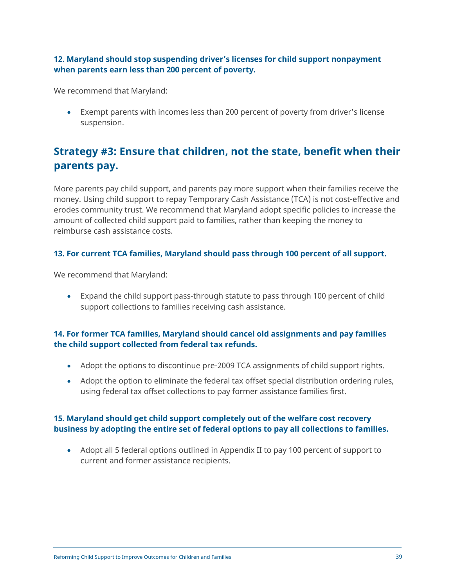#### <span id="page-38-0"></span>**12. Maryland should stop suspending driver's licenses for child support nonpayment when parents earn less than 200 percent of poverty.**

We recommend that Maryland:

• Exempt parents with incomes less than 200 percent of poverty from driver's license suspension.

## **Strategy #3: Ensure that children, not the state, benefit when their parents pay.**

More parents pay child support, and parents pay more support when their families receive the money. Using child support to repay Temporary Cash Assistance (TCA) is not cost-effective and erodes community trust. We recommend that Maryland adopt specific policies to increase the amount of collected child support paid to families, rather than keeping the money to reimburse cash assistance costs.

#### **13. For current TCA families, Maryland should pass through 100 percent of all support.**

We recommend that Maryland:

• Expand the child support pass-through statute to pass through 100 percent of child support collections to families receiving cash assistance.

#### **14. For former TCA families, Maryland should cancel old assignments and pay families the child support collected from federal tax refunds.**

- Adopt the options to discontinue pre-2009 TCA assignments of child support rights.
- Adopt the option to eliminate the federal tax offset special distribution ordering rules, using federal tax offset collections to pay former assistance families first.

#### **15. Maryland should get child support completely out of the welfare cost recovery business by adopting the entire set of federal options to pay all collections to families.**

• Adopt all 5 federal options outlined in Appendix II to pay 100 percent of support to current and former assistance recipients.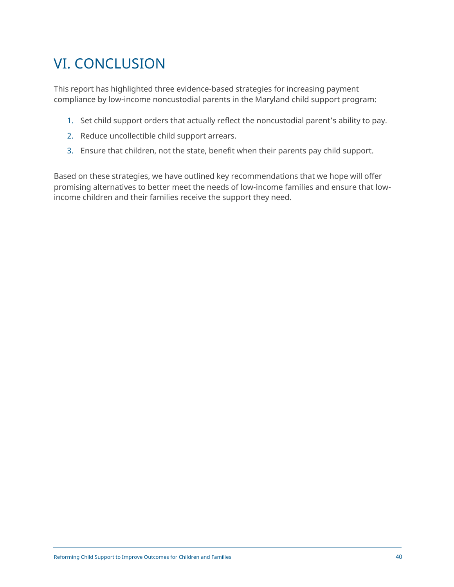# <span id="page-39-0"></span>VI. CONCLUSION

This report has highlighted three evidence-based strategies for increasing payment compliance by low-income noncustodial parents in the Maryland child support program:

- 1. Set child support orders that actually reflect the noncustodial parent's ability to pay.
- 2. Reduce uncollectible child support arrears.
- 3. Ensure that children, not the state, benefit when their parents pay child support.

Based on these strategies, we have outlined key recommendations that we hope will offer promising alternatives to better meet the needs of low-income families and ensure that lowincome children and their families receive the support they need.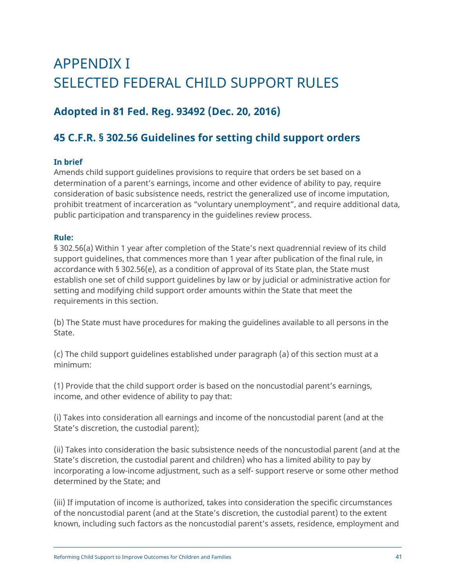# <span id="page-40-0"></span>APPENDIX I SELECTED FEDERAL CHILD SUPPORT RULES

## **Adopted in 81 Fed. Reg. 93492 (Dec. 20, 2016)**

## **45 C.F.R. § 302.56 Guidelines for setting child support orders**

#### **In brief**

Amends child support guidelines provisions to require that orders be set based on a determination of a parent's earnings, income and other evidence of ability to pay, require consideration of basic subsistence needs, restrict the generalized use of income imputation, prohibit treatment of incarceration as "voluntary unemployment", and require additional data, public participation and transparency in the guidelines review process.

#### **Rule:**

§ 302.56(a) Within 1 year after completion of the State's next quadrennial review of its child support guidelines, that commences more than 1 year after publication of the final rule, in accordance with § 302.56(e), as a condition of approval of its State plan, the State must establish one set of child support guidelines by law or by judicial or administrative action for setting and modifying child support order amounts within the State that meet the requirements in this section.

(b) The State must have procedures for making the guidelines available to all persons in the State.

(c) The child support guidelines established under paragraph (a) of this section must at a minimum:

(1) Provide that the child support order is based on the noncustodial parent's earnings, income, and other evidence of ability to pay that:

(i) Takes into consideration all earnings and income of the noncustodial parent (and at the State's discretion, the custodial parent);

(ii) Takes into consideration the basic subsistence needs of the noncustodial parent (and at the State's discretion, the custodial parent and children) who has a limited ability to pay by incorporating a low-income adjustment, such as a self- support reserve or some other method determined by the State; and

(iii) If imputation of income is authorized, takes into consideration the specific circumstances of the noncustodial parent (and at the State's discretion, the custodial parent) to the extent known, including such factors as the noncustodial parent's assets, residence, employment and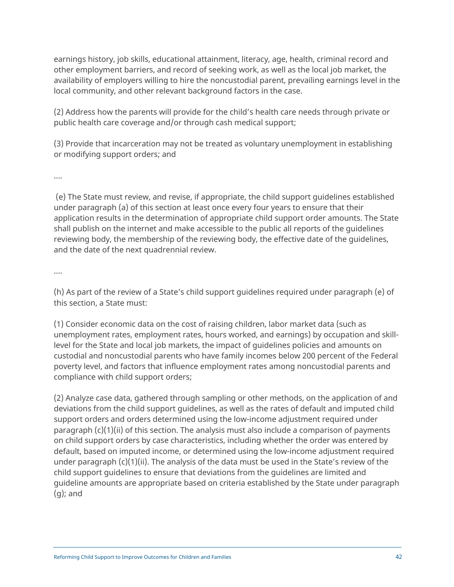earnings history, job skills, educational attainment, literacy, age, health, criminal record and other employment barriers, and record of seeking work, as well as the local job market, the availability of employers willing to hire the noncustodial parent, prevailing earnings level in the local community, and other relevant background factors in the case.

(2) Address how the parents will provide for the child's health care needs through private or public health care coverage and/or through cash medical support;

(3) Provide that incarceration may not be treated as voluntary unemployment in establishing or modifying support orders; and

….

(e) The State must review, and revise, if appropriate, the child support guidelines established under paragraph (a) of this section at least once every four years to ensure that their application results in the determination of appropriate child support order amounts. The State shall publish on the internet and make accessible to the public all reports of the guidelines reviewing body, the membership of the reviewing body, the effective date of the guidelines, and the date of the next quadrennial review.

….

(h) As part of the review of a State's child support guidelines required under paragraph (e) of this section, a State must:

(1) Consider economic data on the cost of raising children, labor market data (such as unemployment rates, employment rates, hours worked, and earnings) by occupation and skilllevel for the State and local job markets, the impact of guidelines policies and amounts on custodial and noncustodial parents who have family incomes below 200 percent of the Federal poverty level, and factors that influence employment rates among noncustodial parents and compliance with child support orders;

(2) Analyze case data, gathered through sampling or other methods, on the application of and deviations from the child support guidelines, as well as the rates of default and imputed child support orders and orders determined using the low-income adjustment required under paragraph  $(c)(1)(ii)$  of this section. The analysis must also include a comparison of payments on child support orders by case characteristics, including whether the order was entered by default, based on imputed income, or determined using the low-income adjustment required under paragraph  $(c)(1)(ii)$ . The analysis of the data must be used in the State's review of the child support guidelines to ensure that deviations from the guidelines are limited and guideline amounts are appropriate based on criteria established by the State under paragraph (g); and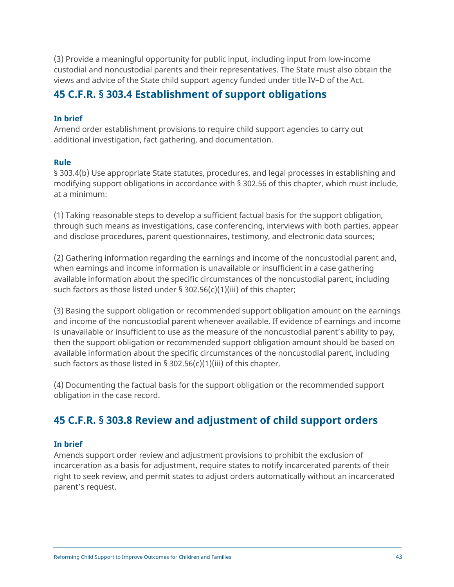<span id="page-42-0"></span>(3) Provide a meaningful opportunity for public input, including input from low-income custodial and noncustodial parents and their representatives. The State must also obtain the views and advice of the State child support agency funded under title IV–D of the Act.

## **45 C.F.R. § 303.4 Establishment of support obligations**

#### **In brief**

Amend order establishment provisions to require child support agencies to carry out additional investigation, fact gathering, and documentation.

#### **Rule**

§ 303.4(b) Use appropriate State statutes, procedures, and legal processes in establishing and modifying support obligations in accordance with § 302.56 of this chapter, which must include, at a minimum:

(1) Taking reasonable steps to develop a sufficient factual basis for the support obligation, through such means as investigations, case conferencing, interviews with both parties, appear and disclose procedures, parent questionnaires, testimony, and electronic data sources;

(2) Gathering information regarding the earnings and income of the noncustodial parent and, when earnings and income information is unavailable or insufficient in a case gathering available information about the specific circumstances of the noncustodial parent, including such factors as those listed under § 302.56(c)(1)(iii) of this chapter;

(3) Basing the support obligation or recommended support obligation amount on the earnings and income of the noncustodial parent whenever available. If evidence of earnings and income is unavailable or insufficient to use as the measure of the noncustodial parent's ability to pay, then the support obligation or recommended support obligation amount should be based on available information about the specific circumstances of the noncustodial parent, including such factors as those listed in  $\S$  302.56(c)(1)(iii) of this chapter.

(4) Documenting the factual basis for the support obligation or the recommended support obligation in the case record.

## **45 C.F.R. § 303.8 Review and adjustment of child support orders**

#### **In brief**

Amends support order review and adjustment provisions to prohibit the exclusion of incarceration as a basis for adjustment, require states to notify incarcerated parents of their right to seek review, and permit states to adjust orders automatically without an incarcerated parent's request.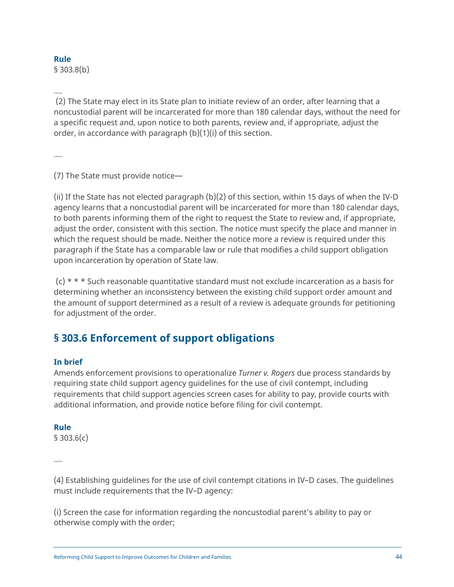#### <span id="page-43-0"></span>**Rule**

§ 303.8(b)

….

(2) The State may elect in its State plan to initiate review of an order, after learning that a noncustodial parent will be incarcerated for more than 180 calendar days, without the need for a specific request and, upon notice to both parents, review and, if appropriate, adjust the order, in accordance with paragraph (b)(1)(i) of this section.

….

(7) The State must provide notice—

(ii) If the State has not elected paragraph (b)(2) of this section, within 15 days of when the IV-D agency learns that a noncustodial parent will be incarcerated for more than 180 calendar days, to both parents informing them of the right to request the State to review and, if appropriate, adjust the order, consistent with this section. The notice must specify the place and manner in which the request should be made. Neither the notice more a review is required under this paragraph if the State has a comparable law or rule that modifies a child support obligation upon incarceration by operation of State law.

 $(c)$  \* \* \* Such reasonable quantitative standard must not exclude incarceration as a basis for determining whether an inconsistency between the existing child support order amount and the amount of support determined as a result of a review is adequate grounds for petitioning for adjustment of the order.

## **§ 303.6 Enforcement of support obligations**

#### **In brief**

Amends enforcement provisions to operationalize *Turner v. Rogers* due process standards by requiring state child support agency guidelines for the use of civil contempt, including requirements that child support agencies screen cases for ability to pay, provide courts with additional information, and provide notice before filing for civil contempt.

#### **Rule**

§ 303.6(c)

….

(4) Establishing guidelines for the use of civil contempt citations in IV–D cases. The guidelines must include requirements that the IV–D agency:

(i) Screen the case for information regarding the noncustodial parent's ability to pay or otherwise comply with the order;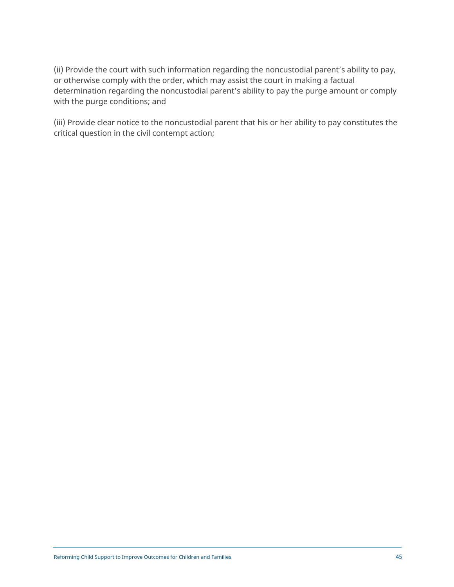(ii) Provide the court with such information regarding the noncustodial parent's ability to pay, or otherwise comply with the order, which may assist the court in making a factual determination regarding the noncustodial parent's ability to pay the purge amount or comply with the purge conditions; and

(iii) Provide clear notice to the noncustodial parent that his or her ability to pay constitutes the critical question in the civil contempt action;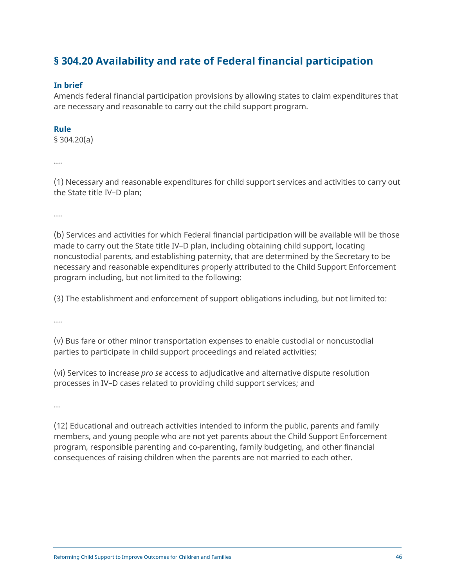## <span id="page-45-0"></span>**§ 304.20 Availability and rate of Federal financial participation**

#### **In brief**

Amends federal financial participation provisions by allowing states to claim expenditures that are necessary and reasonable to carry out the child support program.

#### **Rule**

§ 304.20(a)

….

(1) Necessary and reasonable expenditures for child support services and activities to carry out the State title IV–D plan;

….

(b) Services and activities for which Federal financial participation will be available will be those made to carry out the State title IV–D plan, including obtaining child support, locating noncustodial parents, and establishing paternity, that are determined by the Secretary to be necessary and reasonable expenditures properly attributed to the Child Support Enforcement program including, but not limited to the following:

(3) The establishment and enforcement of support obligations including, but not limited to:

….

(v) Bus fare or other minor transportation expenses to enable custodial or noncustodial parties to participate in child support proceedings and related activities;

(vi) Services to increase *pro se* access to adjudicative and alternative dispute resolution processes in IV–D cases related to providing child support services; and

…

(12) Educational and outreach activities intended to inform the public, parents and family members, and young people who are not yet parents about the Child Support Enforcement program, responsible parenting and co-parenting, family budgeting, and other financial consequences of raising children when the parents are not married to each other.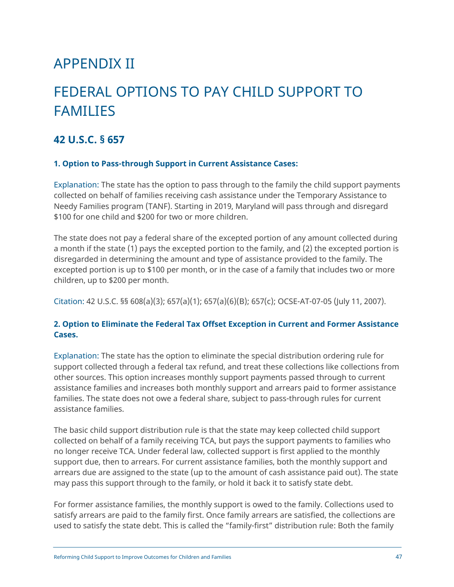## <span id="page-46-0"></span>APPENDIX II

# FEDERAL OPTIONS TO PAY CHILD SUPPORT TO FAMILIES

### **42 U.S.C. § 657**

#### **1. Option to Pass-through Support in Current Assistance Cases:**

Explanation: The state has the option to pass through to the family the child support payments collected on behalf of families receiving cash assistance under the Temporary Assistance to Needy Families program (TANF). Starting in 2019, Maryland will pass through and disregard \$100 for one child and \$200 for two or more children.

The state does not pay a federal share of the excepted portion of any amount collected during a month if the state (1) pays the excepted portion to the family, and (2) the excepted portion is disregarded in determining the amount and type of assistance provided to the family. The excepted portion is up to \$100 per month, or in the case of a family that includes two or more children, up to \$200 per month.

Citation: 42 U.S.C. §§ 608(a)(3); 657(a)(1); 657(a)(6)(B); 657(c); OCSE-AT-07-05 (July 11, 2007).

#### **2. Option to Eliminate the Federal Tax Offset Exception in Current and Former Assistance Cases.**

Explanation: The state has the option to eliminate the special distribution ordering rule for support collected through a federal tax refund, and treat these collections like collections from other sources. This option increases monthly support payments passed through to current assistance families and increases both monthly support and arrears paid to former assistance families. The state does not owe a federal share, subject to pass-through rules for current assistance families.

The basic child support distribution rule is that the state may keep collected child support collected on behalf of a family receiving TCA, but pays the support payments to families who no longer receive TCA. Under federal law, collected support is first applied to the monthly support due, then to arrears. For current assistance families, both the monthly support and arrears due are assigned to the state (up to the amount of cash assistance paid out). The state may pass this support through to the family, or hold it back it to satisfy state debt.

For former assistance families, the monthly support is owed to the family. Collections used to satisfy arrears are paid to the family first. Once family arrears are satisfied, the collections are used to satisfy the state debt. This is called the "family-first" distribution rule: Both the family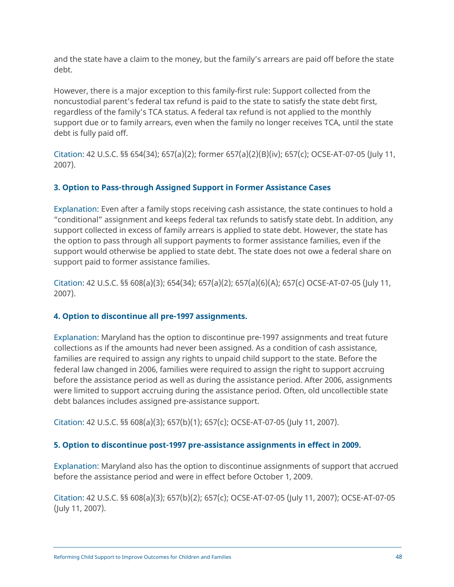and the state have a claim to the money, but the family's arrears are paid off before the state debt.

However, there is a major exception to this family-first rule: Support collected from the noncustodial parent's federal tax refund is paid to the state to satisfy the state debt first, regardless of the family's TCA status. A federal tax refund is not applied to the monthly support due or to family arrears, even when the family no longer receives TCA, until the state debt is fully paid off.

Citation: 42 U.S.C. §§ 654(34); 657(a)(2); former 657(a)(2)(B)(iv); 657(c); OCSE-AT-07-05 (July 11, 2007).

### **3. Option to Pass-through Assigned Support in Former Assistance Cases**

Explanation: Even after a family stops receiving cash assistance, the state continues to hold a "conditional" assignment and keeps federal tax refunds to satisfy state debt. In addition, any support collected in excess of family arrears is applied to state debt. However, the state has the option to pass through all support payments to former assistance families, even if the support would otherwise be applied to state debt. The state does not owe a federal share on support paid to former assistance families.

Citation: 42 U.S.C. §§ 608(a)(3); 654(34); 657(a)(2); 657(a)(6)(A); 657(c) OCSE-AT-07-05 (July 11, 2007).

### **4. Option to discontinue all pre-1997 assignments.**

Explanation: Maryland has the option to discontinue pre-1997 assignments and treat future collections as if the amounts had never been assigned. As a condition of cash assistance, families are required to assign any rights to unpaid child support to the state. Before the federal law changed in 2006, families were required to assign the right to support accruing before the assistance period as well as during the assistance period. After 2006, assignments were limited to support accruing during the assistance period. Often, old uncollectible state debt balances includes assigned pre-assistance support.

Citation: 42 U.S.C. §§ 608(a)(3); 657(b)(1); 657(c); OCSE-AT-07-05 (July 11, 2007).

#### **5. Option to discontinue post-1997 pre-assistance assignments in effect in 2009.**

Explanation: Maryland also has the option to discontinue assignments of support that accrued before the assistance period and were in effect before October 1, 2009.

Citation: 42 U.S.C. §§ 608(a)(3); 657(b)(2); 657(c); OCSE-AT-07-05 (July 11, 2007); OCSE-AT-07-05 (July 11, 2007).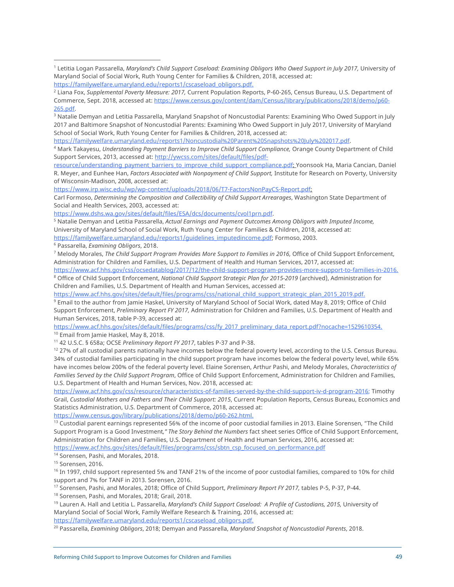2017 and Baltimore Snapshot of Noncustodial Parents: Examining Who Owed Support in July 2017, University of Maryland School of Social Work, Ruth Young Center for Families & Children, 2018, accessed at:

[https://familywelfare.umaryland.edu/reports1/Noncustodial%20Parent%20Snapshots%20July%202017.pdf.](https://familywelfare.umaryland.edu/reports1/Noncustodial%20Parent%20Snapshots%20July%202017.pdf)

<sup>4</sup> Mark Takayesu, *Understanding Payment Barriers to Improve Child Support Compliance,* Orange County Department of Child Support Services, 2013, accessed at: [http://ywcss.com/sites/default/files/pd](http://ywcss.com/sites/default/files/pdf-resource/understanding_payment_barriers_to_improve_child_support_compliance.pdf)f-

[resource/understanding\\_payment\\_barriers\\_to\\_improve\\_child\\_support\\_compliance.pdf;](http://ywcss.com/sites/default/files/pdf-resource/understanding_payment_barriers_to_improve_child_support_compliance.pdf) Yoonsook Ha, Maria Cancian, Daniel R. Meyer, and Eunhee Han, *Factors Associated with Nonpayment of Child Support,* Institute for Research on Poverty, University of Wisconsin-Madison, 2008, accessed at:

[https://www.irp.wisc.edu/wp/wp-content/uploads/2018/06/T7-FactorsNonPayCS-Report.pdf;](https://www.irp.wisc.edu/wp/wp-content/uploads/2018/06/T7-FactorsNonPayCS-Report.pdf) 

Carl Formoso, *Determining the Composition and Collectibility of Child Support Arrearages*, Washington State Department of Social and Health Services, 2003, accessed at:

[https://www.dshs.wa.gov/sites/default/files/ESA/dcs/documents/cvol1prn.pdf.](https://www.dshs.wa.gov/sites/default/files/ESA/dcs/documents/cvol1prn.pdf)

<sup>5</sup> Natalie Demyan and Letitia Passarella, *Actual Earnings and Payment Outcomes Among Obligors with Imputed Income,* University of Maryland School of Social Work, Ruth Young Center for Families & Children, 2018, accessed at: [https://familywelfare.umaryland.edu/reports1/guidelines\\_imputedincome.pdf; Fo](https://familywelfare.umaryland.edu/reports1/guidelines_imputedincome.pdf)rmoso, 2003.

<sup>6</sup> Passarella, *Examining Obligors*, 2018.

<sup>7</sup> Melody Morales, *The Child Support Program Provides More Support to Families in 2016*, Office of Child Support Enforcement, Administration for Children and Families, U.S. Department of Health and Human Services, 2017, accessed at:

[https://www.acf.hhs.gov/css/ocsedatablog/2017/12/the-child-support-program-provides-more-support-to-families-in-2016.](https://www.acf.hhs.gov/css/ocsedatablog/2017/12/the-child-support-program-provides-more-support-to-families-in-2016) <sup>8</sup> Office of Child Support Enforcement, *National Child Support Strategic Plan for 2015-2019* (archived), Administration for Children and Families, U.S. Department of Health and Human Services, accessed at:

[https://www.acf.hhs.gov/sites/default/files/programs/css/national\\_child\\_support\\_strategic\\_plan\\_2015\\_2019.pdf.](https://www.acf.hhs.gov/sites/default/files/programs/css/national_child_support_strategic_plan_2015_2019.pdf)

<sup>9</sup> Email to the author from Jamie Haskel, University of Maryland School of Social Work, dated May 8, 2019; Office of Child Support Enforcement, *Preliminary Report FY 2017,* Administration for Children and Families, U.S. Department of Health and Human Services, 2018, table P-39, accessed at:

[https://www.acf.hhs.gov/sites/default/files/programs/css/fy\\_2017\\_preliminary\\_data\\_report.pdf?nocache=1529610354.](https://www.acf.hhs.gov/sites/default/files/programs/css/fy_2017_preliminary_data_report.pdf?nocache=1529610354)

<sup>10</sup> Email from Jamie Haskel, May 8, 2018.<br><sup>11</sup> 42 U.S.C. § 658a; OCSE *Preliminary Report FY 2017*, tables P-37 and P-38.

<sup>12</sup> 27% of all custodial parents nationally have incomes below the federal poverty level, according to the U.S. Census Bureau. 34% of custodial families participating in the child support program have incomes below the federal poverty level, while 65% have incomes below 200% of the federal poverty level. Elaine Sorensen, Arthur Pashi, and Melody Morales, *Characteristics of Families Served by the Child Support Program*, Office of Child Support Enforcement, Administration for Children and Families, U.S. Department of Health and Human Services, Nov. 2018, accessed at:

[https://www.acf.hhs.gov/css/resource/characteristics-of-families-served-by-the-child-support-iv-d-program-2016; Ti](https://www.acf.hhs.gov/css/resource/characteristics-of-families-served-by-the-child-support-iv-d-program-2016)mothy Grail, *Custodial Mothers and Fathers and Their Child Support: 2015*, Current Population Reports, Census Bureau, Economics and Statistics Administration, U.S. Department of Commerce, 2018, accessed at:

[https://www.census.gov/library/publications/2018/demo/p60-262.html.](https://www.census.gov/library/publications/2018/demo/p60-262.html)

 $13$  Custodial parent earnings represented 56% of the income of poor custodial families in 2013. Elaine Sorensen, "The Child Support Program is a Good Investment*," The Story Behind the Numbers* fact sheet series Office of Child Support Enforcement, Administration for Children and Families, U.S. Department of Health and Human Services, 2016, accessed at: [https://www.acf.hhs.gov/sites/default/files/programs/css/sbtn\\_csp\\_focused\\_on\\_performance.pdf](https://www.acf.hhs.gov/sites/default/files/programs/css/sbtn_csp_focused_on_performance.pdf)

<sup>14</sup> Sorensen, Pashi, and Morales, 2018.

<sup>15</sup> Sorensen, 2016.

<sup>16</sup> In 1997, child support represented 5% and TANF 21% of the income of poor custodial families, compared to 10% for child support and 7% for TANF in 2013. Sorensen, 2016.<br><sup>17</sup> Sorensen, Pashi, and Morales, 2018; Office of Child Support, *Preliminary Report FY 2017*, tables P-5, P-37, P-44.

<sup>18</sup> Sorensen, Pashi, and Morales, 2018; Grail, 2018.

<sup>19</sup> Lauren A. Hall and Letitia L. Passarella, *Maryland's Child Support Caseload: A Profile of Custodians, 2015, University of* Maryland Social of Social Work, Family Welfare Research & Training, 2016, accessed at: [https://familywelfare.umaryland.edu/reports1/cscaseload\\_obligors.pdf.](https://familywelfare.umaryland.edu/reports1/cscaseload_obligors.pdf)

<sup>20</sup> Passarella, *Examining Obligors*, 2018; Demyan and Passarella, *Maryland Snapshot of Noncustodial Parents*, 2018.

<sup>1</sup> Letitia Logan Passarella, *Maryland's Child Support Caseload: Examining Obligors Who Owed Support in July 2017,* University of Maryland Social of Social Work, Ruth Young Center for Families & Children, 2018, accessed at: [https://familywelfare.umaryland.edu/reports1/cscaseload\\_obligors.pdf.](https://familywelfare.umaryland.edu/reports1/cscaseload_obligors.pdf)

<sup>2</sup> Liana Fox, *Supplemental Poverty Measure: 2017,* Current Population Reports, P-60-265, Census Bureau, U.S. Department of Commerce, Sept. 2018, accessed at: [https://www.census.gov/content/dam/Census/library/publications/2018/demo/p60-](https://www.census.gov/content/dam/Census/library/publications/2018/demo/p60-265.pdf) 265.pdf.<br><sup>3</sup> Natalie Demyan and Letitia Passarella, Maryland Snapshot of Noncustodial Parents: Examining Who Owed Support in July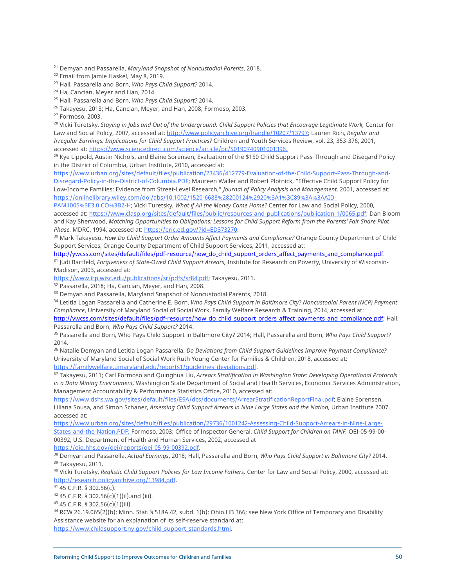<sup>28</sup> Vicki Turetsky, *Staying in Jobs and Out of the Underground: Child Support Policies that Encourage Legitimate Work,* Center for Law and Social Policy, 2007, accessed at: [http://www.policyarchive.org/handle/10207/13797; La](http://www.policyarchive.org/handle/10207/13797)uren Rich, *Regular and Irregular Earnings: Implications for Child Support Practices?* Children and Youth Services Review, vol. 23, 353-376, 2001, accessed at: [https://www.sciencedirect.com/science/article/pii/S0190740901001396.](https://www.sciencedirect.com/science/article/pii/S0190740901001396)

<sup>29</sup> Kye Lippold, Austin Nichols, and Elaine Sorensen, Evaluation of the \$150 Child Support Pass-Through and Disegard Policy in the District of Columbia, Urban Institute, 2010, accessed at:

[https://www.urban.org/sites/default/files/publication/23436/412779-Evaluation-of-the-Child-Support-Pass-Through-and-](https://www.urban.org/sites/default/files/publication/23436/412779-Evaluation-of-the-Child-Support-Pass-Through-and-Disregard-Policy-in-the-District-of-Columbia.PDF)[Disregard-Policy-in-the-District-of-Columbia.PDF; M](https://www.urban.org/sites/default/files/publication/23436/412779-Evaluation-of-the-Child-Support-Pass-Through-and-Disregard-Policy-in-the-District-of-Columbia.PDF)aureen Waller and Robert Plotnick, "Effective Child Support Policy for Low-Income Families: Evidence from Street-Level Research," *Journal of Policy Analysis and Management,* 2001, accessed at: [https://onlinelibrary.wiley.com/doi/abs/10.1002/1520-6688%28200124%2920%3A1%3C89%3A%3AAID-](https://onlinelibrary.wiley.com/doi/abs/10.1002/1520-6688%28200124%2920%3A1%3C89%3A%3AAID-PAM1005%3E3.0.CO%3B2-H)

PAM1005[%3E3.0.CO%3B2-H; Vi](https://onlinelibrary.wiley.com/doi/abs/10.1002/1520-6688%28200124%2920%3A1%3C89%3A%3AAID-PAM1005%3E3.0.CO%3B2-H)cki Turetsky, *What if All the Money Came Home?* Center for Law and Social Policy, 2000, accessed at: [https://www.clasp.org/sites/default/files/public/resources-and-publications/publication-1/0065.pdf;](https://www.clasp.org/sites/default/files/public/resources-and-publications/publication-1/0065.pdf) Dan Bloom and Kay Sherwood, *Matching Opportunities to Obligations: Lessons for Child Support Reform from the Parents' Fair Share Pilot Phase*, MDRC, 1994, accessed at: [https://eric.ed.gov/?id=ED373270.](https://eric.ed.gov/?id=ED373270) 

<sup>30</sup> Mark Takayesu, *How Do Child Support Order Amounts Affect Payments and Compliance?* Orange County Department of Child Support Services, Orange County Department of Child Support Services, 2011, accessed at:

[http://ywcss.com/sites/default/files/pdf-resource/how\\_do\\_child\\_support\\_orders\\_affect\\_payments\\_and\\_compliance.pdf.](http://ywcss.com/sites/default/files/pdf-resource/how_do_child_support_orders_affect_payments_and_compliance.pdf) <sup>31</sup> Judi Bartfeld, *Forgiveness of State-Owed Child Support Arrears,* Institute for Research on Poverty, University of Wisconsin-Madison, 2003, accessed at:

[https://www.irp.wisc.edu/publications/sr/pdfs/sr84.pdf; Ta](https://www.irp.wisc.edu/publications/sr/pdfs/sr84.pdf)kayesu, 2011. 32 Passarella, 2018; Ha, Cancian, Meyer, and Han, 2008.

<sup>33</sup> Demyan and Passarella, Maryland Snapshot of Noncustodial Parents, 2018.

<sup>34</sup> Letitia Logan Passarella and Catherine E. Born, *Who Pays Child Support in Baltimore City? Noncustodial Parent (NCP) Payment Compliance*, University of Maryland Social of Social Work, Family Welfare Research & Training, 2014, accessed at:

[http://ywcss.com/sites/default/files/pdf-resource/how\\_do\\_child\\_support\\_orders\\_affect\\_payments\\_and\\_compliance.pdf; H](http://ywcss.com/sites/default/files/pdf-resource/how_do_child_support_orders_affect_payments_and_compliance.pdf)all, Passarella and Born, *Who Pays Child Support?* 2014.

<sup>35</sup> Passarella and Born, Who Pays Child Support in Baltimore City? 2014; Hall, Passarella and Born, *Who Pays Child Support?*  2014.

<sup>36</sup> Natalie Demyan and Letitia Logan Passarella, *Do Deviations from Child Support Guidelines Improve Payment Compliance?*  University of Maryland Social of Social Work Ruth Young Center for Families & Children, 2018, accessed at: [https://familywelfare.umaryland.edu/reports1/guidelines\\_deviations.pdf.](https://familywelfare.umaryland.edu/reports1/guidelines_deviations.pdf)

<sup>37</sup> Takayesu, 2011; Carl Formoso and Quinghua Liu, *Arrears Stratification in Washington State: Developing Operational Protocols in a Data Mining Environment,* Washington State Department of Social and Health Services, Economic Services Administration, Management Accountability & Performance Statistics Office, 2010, accessed at:

[https://www.dshs.wa.gov/sites/default/files/ESA/dcs/documents/ArrearStratificationReportFinal.pdf; El](https://www.dshs.wa.gov/sites/default/files/ESA/dcs/documents/ArrearStratificationReportFinal.pdf)aine Sorensen, Liliana Sousa, and Simon Schaner, *Assessing Child Support Arrears in Nine Large States and the Nation,* Urban Institute 2007, accessed at:

[https://www.urban.org/sites/default/files/publication/29736/1001242-Assessing-Child-Support-Arrears-in-Nine-Large-](https://www.urban.org/sites/default/files/publication/29736/1001242-Assessing-Child-Support-Arrears-in-Nine-Large-States-and-the-Nation.PDF)[States-and-the-Nation.PDF; Fo](https://www.urban.org/sites/default/files/publication/29736/1001242-Assessing-Child-Support-Arrears-in-Nine-Large-States-and-the-Nation.PDF)rmoso, 2003; Office of Inspector General, *Child Support for Children on TANF,* OEI-05-99-00- 00392, U.S. Department of Health and Human Services, 2002, accessed at

[https://oig.hhs.gov/oei/reports/oei-05-99-00392.pdf.](https://oig.hhs.gov/oei/reports/oei-05-99-00392.pdf)

<sup>38</sup> Demyan and Passarella, *Actual Earnings*, 2018; Hall, Passarella and Born, *Who Pays Child Support in Baltimore City?* 2014. <sup>39</sup> Takayesu, 2011.

<sup>40</sup> Vicki Turetsky, *Realistic Child Support Policies for Low Income Fathers,* Center for Law and Social Policy, 2000, accessed at: [http://research.policyarchive.org/13984.pdf.](http://research.policyarchive.org/13984.pdf)

<sup>41</sup> 45 C.F.R. § 302.56(c).

 $42$  45 C.F.R. § 302.56(c)(1)(ii).and (iii).

<sup>43</sup> 45 C.F.R. § 302.56(c)(1)(iii).

<sup>44</sup> RCW 26.19.065(2)(b); Minn. Stat. § 518A.42, subd. 1(b); Ohio.HB 366; see New York Office of Temporary and Disability Assistance website for an explanation of its self-reserve standard at: [https://www.childsupport.ny.gov/child\\_support\\_standards.html.](https://www.childsupport.ny.gov/child_support_standards.html)

Reforming Child Support to Improve Outcomes for Children and Families 50 and 50 and 50 and 50 and 50 and 50 and 50 and 50 and 50 and 50 and 50 and 50 and 50 and 50 and 50 and 50 and 50 and 50 and 50 and 50 and 50 and 50 an

<sup>21</sup> Demyan and Passarella, *Maryland Snapshot of Noncustodial Parents*, 2018.

<sup>22</sup> Email from Jamie Haskel, May 8, 2019.

<sup>23</sup> Hall, Passarella and Born, *Who Pays Child Support?* 2014.

<sup>&</sup>lt;sup>24</sup> Ha, Cancian, Meyer and Han, 2014.

<sup>25</sup> Hall, Passarella and Born, *Who Pays Child Support?* 2014.

<sup>&</sup>lt;sup>26</sup> Takayesu, 2013; Ha, Cancian, Meyer, and Han, 2008; Formoso, 2003.

<sup>27</sup> Formoso, 2003.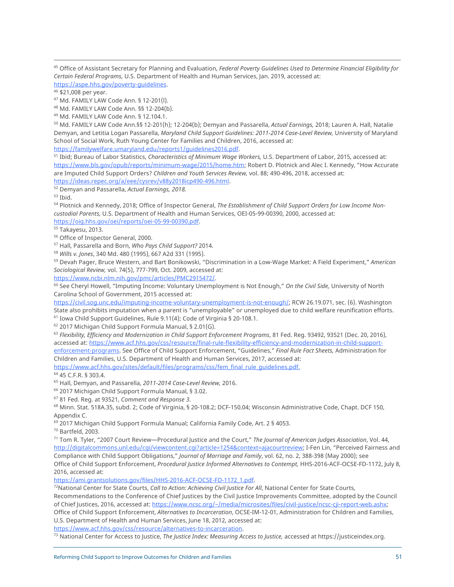<sup>45</sup> Office of Assistant Secretary for Planning and Evaluation, *Federal Poverty Guidelines Used to Determine Financial Eligibility for Certain Federal Programs,* U.S. Department of Health and Human Services, Jan. 2019, accessed at:

[https://aspe.hhs.gov/poverty-guidelines.](https://aspe.hhs.gov/poverty-guidelines)

 $^{46}$  \$21,008 per year.<br> $^{47}$  Md. FAMILY LAW Code Ann. § 12-201(l).

<sup>48</sup> Md. FAMILY LAW Code Ann. §§ 12-204(b).

<sup>49</sup> Md. FAMILY LAW Code Ann. § 12.104.1.

<sup>50</sup> Md. FAMILY LAW Code Ann.§§ 12-201(h); 12-204(b); Demyan and Passarella, *Actual Earnings,* 2018; Lauren A. Hall, Natalie Demyan, and Letitia Logan Passarella, *Maryland Child Support Guidelines: 2011-2014 Case-Level Review,* University of Maryland School of Social Work, Ruth Young Center for Families and Children, 2016, accessed at:

https://familywelfare.umaryland.edu/reports1/guidelines2016.pdf.<br><sup>51</sup> Ibid: Bureau of Labor Statistics, *Characteristics of Minimum Wage Workers*, U.S. Department of Labor, 2015, accessed at: [https://www.bls.gov/opub/reports/minimum-wage/2015/home.htm; Ro](https://www.bls.gov/opub/reports/minimum-wage/2015/home.htm)bert D. Plotnick and Alec I. Kennedy, "How Accurate are Imputed Child Support Orders? *Children and Youth Services Review,* vol. 88; 490-496, 2018, accessed at: [https://ideas.repec.org/a/eee/cysrev/v88y2018icp490-496.html.](https://ideas.repec.org/a/eee/cysrev/v88y2018icp490-496.html)

<sup>52</sup> Demyan and Passarella, *Actual Earnings, 2018.*

<sup>53</sup> Ibid.<br><sup>54</sup> Plotnick and Kennedy, 2018; Office of Inspector General, *The Establishment of Child Support Orders for Low Income Noncustodial Parents,* U.S. Department of Health and Human Services, OEI-05-99-00390, 2000, accessed at: [https://oig.hhs.gov/oei/reports/oei-05-99-00390.pdf.](https://oig.hhs.gov/oei/reports/oei-05-99-00390.pdf)

<sup>55</sup> Takayesu, 2013.

<sup>56</sup> Office of Inspector General, 2000.

<sup>57</sup> Hall, Passarella and Born, *Who Pays Child Support?* 2014.

<sup>58</sup> *Wills v. Jones*, 340 Md. 480 (1995), 667 A2d 331 (1995).

<sup>59</sup> Devah Pager, Bruce Western, and Bart Bonikowski, "Discrimination in a Low-Wage Market: A Field Experiment," *American Sociological Review,* vol. 74(5), 777-799, Oct. 2009, accessed at:

[https://www.ncbi.nlm.nih.gov/pmc/articles/PMC2915472/.](https://www.ncbi.nlm.nih.gov/pmc/articles/PMC2915472/)

<sup>60</sup> See Cheryl Howell, "Imputing Income: Voluntary Unemployment is Not Enough," *On the Civil Side,* University of North Carolina School of Government, 2015 accessed at:

[https://civil.sog.unc.edu/imputing-income-voluntary-unemployment-is-not-enough/;](https://civil.sog.unc.edu/imputing-income-voluntary-unemployment-is-not-enough/) RCW 26.19.071, sec. (6). Washington State also prohibits imputation when a parent is "unemployable" or unemployed due to child welfare reunification efforts.

<sup>61</sup> Iowa Child Support Guidelines, Rule 9.11(4); Code of Virginia § 20-108.1.<br><sup>62</sup> 2017 Michigan Child Support Formula Manual, § 2.01(G).<br><sup>63</sup> Flexibility, Efficiency and Modernization in Child Support Enforcement Progra [accessed at: https://www.acf.hhs.gov/css/resource/final-rule-flexibility-efficiency-and-modernization-in-child-support](https://www.acf.hhs.gov/css/resource/final-rule-flexibility-efficiency-and-modernization-in-child-support-enforcement-programs)enforcement-[programs. Se](https://www.acf.hhs.gov/css/resource/final-rule-flexibility-efficiency-and-modernization-in-child-support-enforcement-programs)e Office of Child Support Enforcement, "Guidelines," *Final Rule Fact Sheets,* Administration for Children and Families, U.S. Department of Health and Human Services, 2017, accessed at:

[https://www.acf.hhs.gov/sites/default/files/programs/css/fem\\_final\\_rule\\_guidelines.pdf.](https://www.acf.hhs.gov/sites/default/files/programs/css/fem_final_rule_guidelines.pdf)

<sup>64</sup> 45 C.F.R. § 303.4.

<sup>65</sup> Hall, Demyan, and Passarella, *2011-2014 Case-Level Review,* 2016.

<sup>66</sup> 2017 Michigan Child Support Formula Manual, § 3.02.

<sup>67</sup> 81 Fed. Reg. at 93521, *Comment and Response 3.*<br><sup>68</sup> Minn. Stat. 518A.35, subd. 2; Code of Virginia, § 20-108.2; DCF-150.04; Wisconsin Administrative Code, Chapt. DCF 150, Appendix C.

 $^{69}$  2017 Michigan Child Support Formula Manual; California Family Code, Art. 2 § 4053.<br><sup>70</sup> Bartfeld, 2003.

<sup>71</sup> Tom R. Tyler, "2007 Court Review—Procedural Justice and the Court," *The Journal of American Judges Association*, Vol. 44, [http://digitalcommons.unl.edu/cgi/viewcontent.cgi?article=1254&context=ajacourtreview; I-F](http://digitalcommons.unl.edu/cgi/viewcontent.cgi?article=1254&context=ajacourtreview)en Lin, "Perceived Fairness and Compliance with Child Support Obligations," *Journal of Marriage and Family*, vol. 62, no. 2, 388-398 (May 2000); see Office of Child Support Enforcement, *Procedural Justice Informed Alternatives to Contempt,* HHS-2016-ACF-OCSE-FD-1172, July 8, 2016, accessed at:

[https://ami.grantsolutions.gov/files/HHS-2016-ACF-OCSE-FD-1172\\_1.pdf.](https://ami.grantsolutions.gov/files/HHS-2016-ACF-OCSE-FD-1172_1.pdf)

72National Center for State Courts, *Call to Action: Achieving Civil Justice For All*, National Center for State Courts, Recommendations to the Conference of Chief Justices by the Civil Justice Improvements Committee, adopted by the Council of Chief Justices, 2016, accessed at: [https://www.ncsc.org/~/media/microsites/files/civil-justice/ncsc-cji-report-web.ashx;](https://www.ncsc.org/~/media/microsites/files/civil-justice/ncsc-cji-report-web.ashx)  Office of Child Support Enforcement, *Alternatives to Incarceration*, OCSE-IM-12-01, Administration for Children and Families, U.S. Department of Health and Human Services, June 18, 2012, accessed at:

[https://www.acf.hhs.gov/css/resource/alternatives-to-incarceration.](https://www.acf.hhs.gov/css/resource/alternatives-to-incarceration)

<sup>73</sup> National Center for Access to Justice, *The Justice Index: Measuring Access to Justice,* accessed at [https://justiceindex.org.](https://justiceindex.org)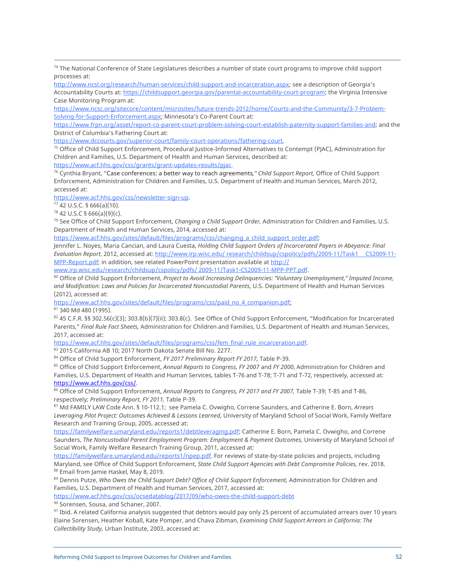<sup>74</sup> The National Conference of State Legislatures describes a number of state court programs to improve child support processes at:

[http://www.ncsl.org/research/human-services/child-support-and-incarceration.aspx; se](http://www.ncsl.org/research/human-services/child-support-and-incarceration.aspx)e a description of Georgia's Accountability Courts at: [https://childsupport.georgia.gov/parental-accountability-court-program; th](https://childsupport.georgia.gov/parental-accountability-court-program)e Virginia Intensive Case Monitoring Program at:

[https://www.ncsc.org/sitecore/content/microsites/future-trends-2012/home/Courts-and-the-Community/3-7-Problem-](https://www.ncsc.org/sitecore/content/microsites/future-trends-2012/home/Courts-and-the-Community/3-7-Problem-Solving-for-Support-Enforcement.aspx)[Solving-for-Support-Enforcement.aspx; M](https://www.ncsc.org/sitecore/content/microsites/future-trends-2012/home/Courts-and-the-Community/3-7-Problem-Solving-for-Support-Enforcement.aspx)innesota's Co-Parent Court at:

[https://www.frpn.org/asset/report-co-parent-court-problem-solving-court-establish-paternity-support-families-and; an](https://www.frpn.org/asset/report-co-parent-court-problem-solving-court-establish-paternity-support-families-and)d the District of Columbia's Fathering Court at:

[https://www.dccourts.gov/superior-court/family-court-operations/fathering-court.](https://www.dccourts.gov/superior-court/family-court-operations/fathering-court)

<sup>75</sup> Office of Child Support Enforcement, Procedural Justice-Informed Alternatives to Contempt (PJAC), Administration for Children and Families, U.S. Department of Health and Human Services, described at:

[https://www.acf.hhs.gov/css/grants/grant-updates-results/pjac.](https://www.acf.hhs.gov/css/grants/grant-updates-results/pjac)

<sup>76</sup> Cynthia Bryant, "Case conferences: a better way to reach agreements*," Child Support Report,* Office of Child Support Enforcement, Administration for Children and Families, U.S. Department of Health and Human Services, March 2012, accessed at:

[https://www.acf.hhs.gov/css/newsletter-sign-up.](https://www.acf.hhs.gov/css/newsletter-sign-up)

<sup>77</sup> 42 U.S.C. § 666(a)(10).

 $78$  42 U.S.C § 666(a)(9)(c).

<sup>79</sup> See Office of Child Support Enforcement, *Changing a Child Support Order,* Administration for Children and Families, U.S. Department of Health and Human Services, 2014, accessed at:

[https://www.acf.hhs.gov/sites/default/files/programs/css/changing\\_a\\_child\\_support\\_order.pdf;](https://www.acf.hhs.gov/sites/default/files/programs/css/changing_a_child_support_order.pdf)

Jennifer L. Noyes, Maria Cancian, and Laura Cuesta, *Holding Child Support Orders of Incarcerated Payers in Abeyance: Final Evaluation Report*, 2012, accessed at: [http://www.irp.wisc.edu/ re](http://www.irp.wisc.edu/)search/childsup/cspolicy/pdfs/2009-11/Task1CS2009-11- MPP-Report.pdf; in addition, see related PowerPoint presentation available at [http://](http://www.irp.wisc.edu/research/childsup/cspolicy/pdfs/) 

[www.irp.wisc.edu/research/childsup/cspolicy/pdfs/ 20](http://www.irp.wisc.edu/research/childsup/cspolicy/pdfs/)09-11/Task1-CS2009-11-MPP-PPT.pdf.

<sup>80</sup> Office of Child Support Enforcement, *Project to Avoid Increasing Delinquencies: "Voluntary Unemployment," Imputed Income, and Modification: Laws and Policies for Incarcerated Noncustodial Parents*, U.S. Department of Health and Human Services (2012), accessed at:

[https://www.acf.hhs.gov/sites/default/files/programs/css/paid\\_no\\_4\\_companion.pdf;](https://www.acf.hhs.gov/sites/default/files/programs/css/paid_no_4_companion.pdf) 81 340 Md 480 (1995).

82 45 C.F.R. §§ 302.56(c)(3); 303.8(b)(7)(ii); 303.8(c). See Office of Child Support Enforcement, "Modification for Incarcerated Parents," *Final Rule Fact Sheets,* Administration for Children and Families, U.S. Department of Health and Human Services, 2017, accessed at:

[https://www.acf.hhs.gov/sites/default/files/programs/css/fem\\_final\\_rule\\_incarceration.pdf.](https://www.acf.hhs.gov/sites/default/files/programs/css/fem_final_rule_incarceration.pdf) 83 2015 California AB 10; 2017 North Dakota Senate Bill No. 2277.

<sup>84</sup> Office of Child Support Enforcement, FY 2017 Preliminary Report FY 2017, Table P-39.<br><sup>85</sup> Office of Child Support Enforcement, Annual Reports to Congress, FY 2007 and FY 2000, Administration for Children and Families, U.S. Department of Health and Human Services, tables T-76 and T-78; T-71 and T-72, respectively, accessed at: https://www.acf.hhs.gov/css/.<br><sup>86</sup> Office of Child Support Enforcement, *Annual Reports to Congress, FY 2017 and FY 2007*, Table T-39; T-85 and T-86,

respectively; *Preliminary Report, FY 2011,* Table P-39.

<sup>87</sup> Md FAMILY LAW Code Ann. § 10-112.1; see Pamela C. Ovwigho, Correne Saunders, and Catherine E. Born, *Arrears Leveraging Pilot Project: Outcomes Achieved & Lessons Learned,* University of Maryland School of Social Work, Family Welfare Research and Training Group, 2005, accessed at:

[https://familywelfare.umaryland.edu/reports1/debtleveraging.pdf; Ca](https://familywelfare.umaryland.edu/reports1/debtleveraging.pdf)therine E. Born, Pamela C. Ovwigho, and Correne Saunders, *The Noncustodial Parent Employment Program: Employment & Payment Outcomes,* University of Maryland School of Social Work, Family Welfare Research Training Group, 2011, accessed at:

[https://familywelfare.umaryland.edu/reports1/npep.pdf. Fo](https://familywelfare.umaryland.edu/reports1/npep.pdf)r reviews of state-by-state policies and projects, including Maryland, see Office of Child Support Enforcement, *State Child Support Agencies with Debt Compromise Policies,* rev. 2018. 88 Email from Jamie Haskel, May 8, 2019.

89 Dennis Putze, Who Owes the Child Support Debt? Office of Child Support Enforcement, Administration for Children and Families, U.S. Department of Health and Human Services, 2017, accessed at:

<https://www.acf.hhs.gov/css/ocsedatablog/2017/09/who-owes-the-child-support-debt>

<sup>90</sup> Sorensen, Sousa, and Schaner, 2007.

91 Ibid. A related California analysis suggested that debtors would pay only 25 percent of accumulated arrears over 10 years Elaine Sorensen, Heather Koball, Kate Pomper, and Chava Zibman, *Examining Child Support Arrears in California: The Collectibility Study,* Urban Institute, 2003, accessed at: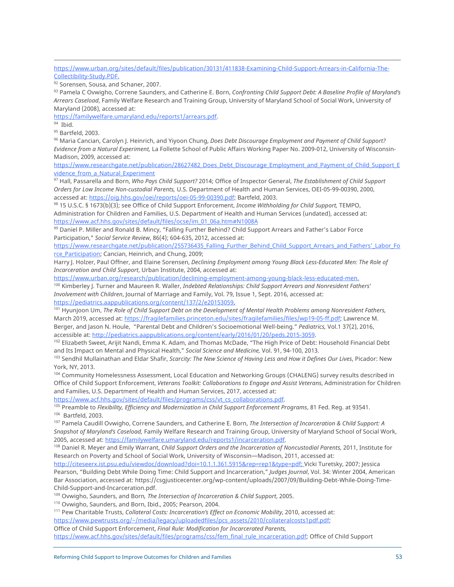[https://www.urban.org/sites/default/files/publication/30131/411838-Examining-Child-Support-Arrears-in-California-The-](https://www.urban.org/sites/default/files/publication/30131/411838-Examining-Child-Support-Arrears-in-California-The-Collectibility-Study.PDF)[Collectibility-Study.PDF.](https://www.urban.org/sites/default/files/publication/30131/411838-Examining-Child-Support-Arrears-in-California-The-Collectibility-Study.PDF)

92 Sorensen, Sousa, and Schaner, 2007.

<sup>93</sup> Pamela C Ovwigho, Correne Saunders, and Catherine E. Born, *Confronting Child Support Debt: A Baseline Profile of Maryland's Arrears Caseload*, Family Welfare Research and Training Group, University of Maryland School of Social Work, University of Maryland (2008), accessed at:

[https://familywelfare.umaryland.edu/reports1/arrears.pdf.](https://familywelfare.umaryland.edu/reports1/arrears.pdf)

 $94$  Ibid.

<sup>95</sup> Bartfeld, 2003.

<sup>96</sup> Maria Cancian, Carolyn J. Heinrich, and Yiyoon Chung, *Does Debt Discourage Employment and Payment of Child Support? Evidence from a Natural Experiment,* La Follette School of Public Affairs Working Paper No. 2009-012, University of Wisconsin-Madison, 2009, accessed at:

[https://www.researchgate.net/publication/28627482\\_Does\\_Debt\\_Discourage\\_Employment\\_and\\_Payment\\_of\\_Child\\_Support\\_E](https://www.researchgate.net/publication/28627482_Does_Debt_Discourage_Employment_and_Payment_of_Child_Support_E) vidence from a Natural Experiment

<sup>97</sup> Hall, Passarella and Born, *Who Pays Child Support?* 2014; Office of Inspector General, *The Establishment of Child Support Orders for Low Income Non-custodial Parents,* U.S. Department of Health and Human Services, OEI-05-99-00390, 2000, accessed at: [https://oig.hhs.gov/oei/reports/oei-05-99-00390.pdf; Ba](https://oig.hhs.gov/oei/reports/oei-05-99-00390.pdf)rtfeld, 2003.

<sup>98</sup> 15 U.S.C. § 1673(b)(3); see Office of Child Support Enforcement, *Income Withholding for Child Support,* TEMPO, Administration for Children and Families, U.S. Department of Health and Human Services (undated), accessed at: [https://www.acf.hhs.gov/sites/default/files/ocse/im\\_01\\_06a.htm#N1008A](https://www.acf.hhs.gov/sites/default/files/ocse/im_01_06a.htm#N1008A)

<sup>99</sup> Daniel P. Miller and Ronald B. Mincy, "Falling Further Behind? Child Support Arrears and Father's Labor Force Participation," *Social Service Review*, 86(4); 604-635, 2012, accessed at:

[https://www.researchgate.net/publication/255736435\\_Falling\\_Further\\_Behind\\_Child\\_Support\\_Arrears\\_and\\_Fathers](https://www.researchgate.net/publication/255736435_Falling_Further_Behind_Child_Support_Arrears_and_Fathers)'\_Labor\_Fo rce Participation; Cancian, Heinrich, and Chung, 2009;

Harry J. Holzer, Paul Offner, and Elaine Sorensen, *Declining Employment among Young Black Less-Educated Men: The Role of Incarceration and Child Support*, Urban Institute, 2004, accessed at:

[https://www.urban.org/research/publication/declining-employment-among-young-black-less-educated-men.](https://www.urban.org/research/publication/declining-employment-among-young-black-less-educated-men) <sup>100</sup> Kimberley J. Turner and Maureen R. Waller, *Indebted Relationships: Child Support Arrears and Nonresident Fathers' Involvement with Children*, Journal of Marriage and Family, Vol. 79, Issue 1, Sept. 2016, accessed at:

[https://pediatrics.aappublications.org/content/137/2/e20153059.](https://pediatrics.aappublications.org/content/137/2/e20153059)

<sup>101</sup> Hyunjoon Um, *The Role of Child Support Debt on the Development of Mental Health Problems among Nonresident Fathers,*  March 2019, accessed at: [https://fragilefamilies.princeton.edu/sites/fragilefamilies/files/wp19-05-ff.pdf; La](https://fragilefamilies.princeton.edu/sites/fragilefamilies/files/wp19-05-ff.pdf)wrence M. Berger, and Jason N. Houle, "Parental Debt and Children's Socioemotional Well-being." *Pediatrics,* Vol.1 37(2), 2016, accessible at: [http://pediatrics.aappublications.org/content/early/2016/01/20/peds.2015-3059.](http://pediatrics.aappublications.org/content/early/2016/01/20/peds.2015-3059)

102 Elizabeth Sweet, Arijit Nandi, Emma K. Adam, and Thomas McDade, "The High Price of Debt: Household Financial Debt and Its Impact on Mental and Physical Health," *Social Science and Medicine,* Vol. 91, 94-100, 2013.

<sup>103</sup> Sendhil Mullainathan and Eldar Shafir, *Scarcity: The New Science of Having Less and How it Defines Our Lives*, Picador: New York, NY, 2013.

104 Community Homelessness Assessment, Local Education and Networking Groups (CHALENG) survey results described in Office of Child Support Enforcement, *Veterans Toolkit: Collaborations to Engage and Assist Veterans*, Administration for Children and Families, U.S. Department of Health and Human Services, 2017, accessed at:

[https://www.acf.hhs.gov/sites/default/files/programs/css/vt\\_cs\\_collaborations.pdf.](https://www.acf.hhs.gov/sites/default/files/programs/css/vt_cs_collaborations.pdf)

<sup>105</sup> Preamble to *Flexibility, Efficiency and Modernization in Child Support Enforcement Programs*, 81 Fed. Reg. at 93541. 106 Bartfeld, 2003.

<sup>107</sup> Pamela Caudill Ovwigho, Correne Saunders, and Catherine E. Born, *The Intersection of Incarceration & Child Support: A Snapshot of Maryland's Caseload,* Family Welfare Research and Training Group, University of Maryland School of Social Work, 2005, accessed at: [https://familywelfare.umaryland.edu/reports1/incarceration.pdf.](https://familywelfare.umaryland.edu/reports1/incarceration.pdf)

<sup>108</sup> Daniel R. Meyer and Emily Warrant, *Child Support Orders and the Incarceration of Noncustodial Parents,* 2011, Institute for Research on Poverty and School of Social Work, University of Wisconsin—Madison, 2011, accessed at:

[http://citeseerx.ist.psu.edu/viewdoc/download?doi=10.1.1.361.5915&rep=rep1&type=pdf; Vi](http://citeseerx.ist.psu.edu/viewdoc/download?doi=10.1.1.361.5915&rep=rep1&type=pdf)cki Turetsky, 2007; Jessica Pearson, "Building Debt While Doing Time: Child Support and Incarceration," *Judges Journal*, Vol. 34: Winter 2004, American Bar Association, accessed at: [https://csgjusticecenter.org/wp-content/uploads/2007/09/Building-Debt-While-Doing-Time-](https://csgjusticecenter.org/wp-content/uploads/2007/09/Building-Debt-While-Doing-Time-Child-Support-and-Incarceration.pdf)[Child-Support-and-Incarceration.pdf.](https://csgjusticecenter.org/wp-content/uploads/2007/09/Building-Debt-While-Doing-Time-Child-Support-and-Incarceration.pdf)

<sup>109</sup> Ovwigho, Saunders, and Born*, The Intersection of Incarceration & Child Support*, 2005.

<sup>110</sup> Ovwigho, Saunders, and Born, Ibid., 2005; Pearson, 2004.

<sup>111</sup> Pew Charitable Trusts, *Collateral Costs: Incarceration's Effect on Economic Mobility*, 2010, accessed at:

https://www.pewtrusts.org/~/media/legacy/uploadedfiles/pcs\_assets/2010/collateralcosts1pdf.pdf;

Office of Child Support Enforcement, *Final Rule: Modification for Incarcerated Parents,*

[https://www.acf.hhs.gov/sites/default/files/programs/css/fem\\_final\\_rule\\_incarceration.pdf; O](https://www.acf.hhs.gov/sites/default/files/programs/css/fem_final_rule_incarceration.pdf)ffice of Child Support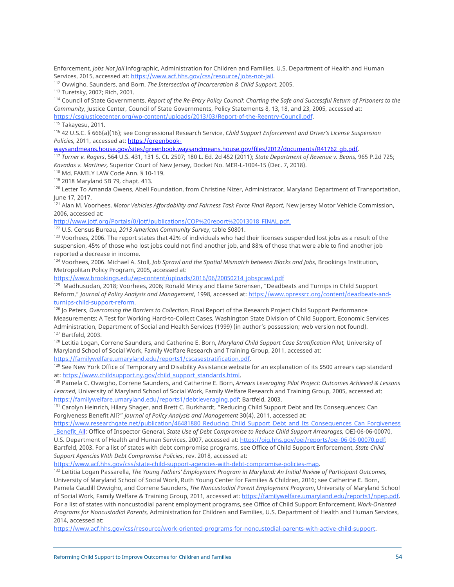Enforcement, *Jobs Not Jail* infographic, Administration for Children and Families, U.S. Department of Health and Human Services, 2015, accessed at: [https://www.acf.hhs.gov/css/resource/jobs-not-jail.](https://www.acf.hhs.gov/css/resource/jobs-not-jail) 112 Ovwigho, Saunders, and Born, *The Intersection of Incarceration & Child Support*, 2005.

<sup>114</sup> Council of State Governments, *Report of the Re-Entry Policy Council: Charting the Safe and Successful Return of Prisoners to the Community*, Justice Center, Council of State Governments, Policy Statements 8, 13, 18, and 23, 2005, accessed at: [https://csgjusticecenter.org/wp-content/uploads/2013/03/Report-of-the-Reentry-Council.pdf.](https://csgjusticecenter.org/wp-content/uploads/2013/03/Report-of-the-Reentry-Council.pdf)

<sup>115</sup> Takayesu, 2011.

<sup>116</sup> 42 U.S.C. § 666(a)(16); see Congressional Research Service, *Child Support Enforcement and Driver's License Suspension Policies,* 2011, accessed at: [https://gr](https://greenbook-waysandmeans.house.gov/sites/greenbook.waysandmeans.house.gov/files/2012/documents/R41762_gb.pdf)eenbook-

waysandmeans.house.gov/sites/greenbook.waysandmeans.house.gov/files/2012/documents/R41762 qb.pdf.

<sup>117</sup> *Turner v. Rogers*, 564 U.S. 431, 131 S. Ct. 2507; 180 L. Ed. 2d 452 (2011); *State Department of Revenue v. Beans,* 965 P.2d 725; *Kavadas v. Martinez,* Superior Court of New Jersey, Docket No. MER-L-1004-15 (Dec. 7, 2018).

<sup>118</sup> Md. FAMILY LAW Code Ann. § 10-119.

<sup>119</sup> 2018 Maryland SB 79, chapt. 413.

<sup>120</sup> Letter To Amanda Owens, Abell Foundation, from Christine Nizer, Administrator, Maryland Department of Transportation, June 17, 2017.

<sup>121</sup> Alan M. Voorhees, *Motor Vehicles Affordability and Fairness Task Force Final Report*, New Jersey Motor Vehicle Commission, 2006, accessed at:

[http://www.jotf.org/Portals/0/jotf/publications/COP%20report%20013018\\_FINAL.pdf.](http://www.jotf.org/Portals/0/jotf/publications/COP%20report%20013018_FINAL.pdf)

<sup>122</sup> U.S. Census Bureau, *2013 American Community Survey*, table S0801.

<sup>123</sup> Voorhees, 2006. The report states that 42% of individuals who had their licenses suspended lost jobs as a result of the suspension, 45% of those who lost jobs could not find another job, and 88% of those that were able to find another job reported a decrease in income.

<sup>124</sup> Voorhees, 2006. Michael A. Stoll, *Job Sprawl and the Spatial Mismatch between Blacks and Jobs,* Brookings Institution, Metropolitan Policy Program, 2005, accessed at:

[https://www.brookings.edu/wp-content/uploads/2016/06/20050214\\_jobsprawl.pdf](https://www.brookings.edu/wp-content/uploads/2016/06/20050214_jobsprawl.pdf)

<sup>125</sup> Madhusudan, 2018; Voorhees, 2006; Ronald Mincy and Elaine Sorensen, "Deadbeats and Turnips in Child Support Reform," *Journal of Policy Analysis and Management,* [1998, accessed at: https://www.opressrc.org/content/deadbeats-and](https://www.opressrc.org/content/deadbeats-and-turnips-child-support-reform)turnips[-child-support-reform.](https://www.opressrc.org/content/deadbeats-and-turnips-child-support-reform)

<sup>126</sup> Jo Peters, *Overcoming the Barriers to Collection.* Final Report of the Research Project Child Support Performance Measurements: A Test for Working Hard-to-Collect Cases, Washington State Division of Child Support, Economic Services Administration, Department of Social and Health Services (1999) (in author's possession; web version not found). <sup>127</sup> Bartfeld, 2003.

<sup>128</sup> Letitia Logan, Correne Saunders, and Catherine E. Born, *Maryland Child Support Case Stratification Pilot,* University of Maryland School of Social Work, Family Welfare Research and Training Group, 2011, accessed at:

https://familywelfare.umaryland.edu/reports1/cscasestratification.pdf.<br><sup>129</sup> See New York Office of Temporary and Disability Assistance website for an explanation of its \$500 arrears cap standard at: [https://www.childsupport.ny.gov/child\\_support\\_standards.html.](https://www.childsupport.ny.gov/child_support_standards.html)

<sup>130</sup> Pamela C. Ovwigho, Correne Saunders, and Catherine E. Born, *Arrears Leveraging Pilot Project: Outcomes Achieved & Lessons Learned,* University of Maryland School of Social Work, Family Welfare Research and Training Group, 2005, accessed at: [https://familywelfare.umaryland.edu/reports1/debtleveraging.pdf; Ba](https://familywelfare.umaryland.edu/reports1/debtleveraging.pdf)rtfeld, 2003.<br><sup>131</sup> Carolyn Heinrich, Hilary Shager, and Brett C. Burkhardt, "Reducing Child Support Debt and Its Consequences: Can

Forgiveness Benefit All?" *Journal of Policy Analysis and Management* 30(4), 2011, accessed at:

https://www.researchgate.net/publication/46481880 Reducing Child Support Debt and Its Consequences Can Forgiveness \_Benefit\_All; Office of Inspector General, *State Use of Debt Compromise to Reduce Child Support Arrearages,* OEI-06-06-00070, U.S. Department of Health and Human Services, 2007, accessed at: [https://oig.hhs.gov/oei/reports/oei-06-06-00070.pdf;](https://oig.hhs.gov/oei/reports/oei-06-06-00070.pdf)

Bartfeld, 2003. For a list of states with debt compromise programs, see Office of Child Support Enforcement, *State Child Support Agencies With Debt Compromise Policies*, rev. 2018, accessed at:

[https://www.acf.hhs.gov/css/state-child-support-agencies-with-debt-compromise-policies-map.](https://www.acf.hhs.gov/css/state-child-support-agencies-with-debt-compromise-policies-map)

<sup>132</sup> Leititia Logan Passarella, *The Young Fathers' Employment Program in Maryland: An Initial Review of Participant Outcomes,* University of Maryland School of Social Work, Ruth Young Center for Families & Children, 2016; see Catherine E. Born, Pamela Caudill Ovwigho, and Correne Saunders, *The Noncustodial Parent Employment Program*, University of Maryland School of Social Work, Family Welfare & Training Group, 2011, accessed at: [https://familywelfare.umaryland.edu/reports1/npep.pdf.](https://familywelfare.umaryland.edu/reports1/npep.pdf)  For a list of states with noncustodial parent employment programs, see Office of Child Support Enforcement, *Work-Oriented Programs for Noncustodial Parents,* Administration for Children and Families, U.S. Department of Health and Human Services, 2014, accessed at:

[https://www.acf.hhs.gov/css/resource/work-oriented-programs-for-noncustodial-parents-with-active-child-support.](https://www.acf.hhs.gov/css/resource/work-oriented-programs-for-noncustodial-parents-with-active-child-support) 

<sup>113</sup> Turetsky, 2007; Rich, 2001.